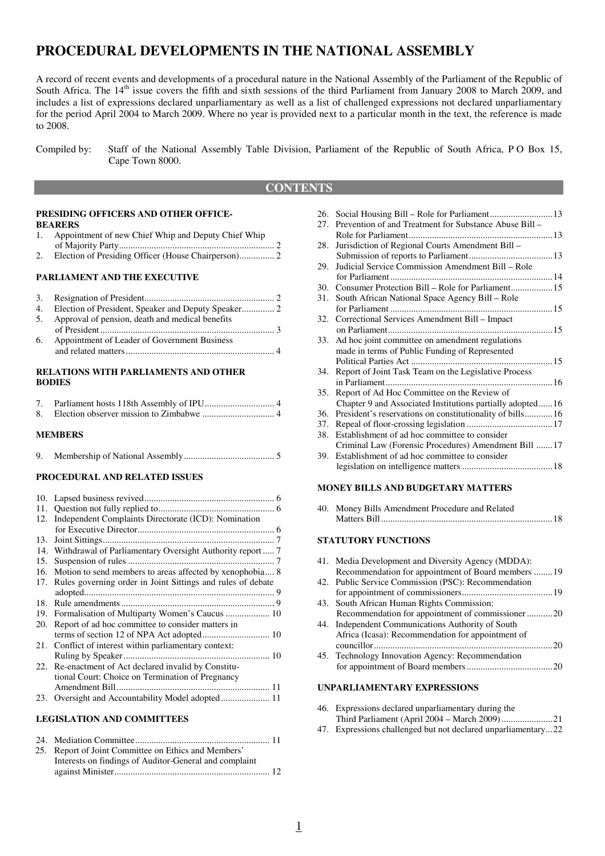# **PROCEDURAL DEVELOPMENTS IN THE NATIONAL ASSEMBLY**

A record of recent events and developments of a procedural nature in the National Assembly of the Parliament of the Republic of South Africa. The  $14<sup>th</sup>$  issue covers the fifth and sixth sessions of the third Parliament from January 2008 to March 2009, and includes a list of expressions declared unparliamentary as well as a list of challenged expressions not declared unparliamentary for the period April 2004 to March 2009. Where no year is provided next to a particular month in the text, the reference is made to 2008.

### **CONTENTS**

#### **PRESIDING OFFICERS AND OTHER OFFICE-BEARERS**

- 1. Appointment of new Chief Whip and Deputy Chief Whip
- of Majority Party ................................................................... 2 2. Election of Presiding Officer (House Chairperson) ............... 2

#### **PARLIAMENT AND THE EXECUTIVE**

|    | 5. Approval of pension, death and medical benefits |  |
|----|----------------------------------------------------|--|
|    |                                                    |  |
| 6. | Appointment of Leader of Government Business       |  |
|    |                                                    |  |

#### **RELATIONS WITH PARLIAMENTS AND OTHER BODIES**

#### **MEMBERS**

| 9. |  |  |  |
|----|--|--|--|
|----|--|--|--|

#### **PROCEDURAL AND RELATED ISSUES**

| 11. |                                                               |
|-----|---------------------------------------------------------------|
| 12. | Independent Complaints Directorate (ICD): Nomination          |
|     |                                                               |
| 13. |                                                               |
|     | 14. Withdrawal of Parliamentary Oversight Authority report  7 |
| 15. |                                                               |
| 16. | Motion to send members to areas affected by xenophobia 8      |
| 17. | Rules governing order in Joint Sittings and rules of debate   |
|     |                                                               |
| 18. |                                                               |
| 19. | Formalisation of Multiparty Women's Caucus  10                |
| 20. | Report of ad hoc committee to consider matters in             |
|     |                                                               |
| 21. | Conflict of interest within parliamentary context:            |
|     |                                                               |
| 22. | Re-enactment of Act declared invalid by Constitu-             |
|     | tional Court: Choice on Termination of Pregnancy              |
|     |                                                               |
| 23. |                                                               |
|     |                                                               |

#### **LEGISLATION AND COMMITTEES**

| 25. Report of Joint Committee on Ethics and Members'   |  |
|--------------------------------------------------------|--|
| Interests on findings of Auditor-General and complaint |  |
|                                                        |  |

| 26. |                                                           |
|-----|-----------------------------------------------------------|
| 27. | Prevention of and Treatment for Substance Abuse Bill –    |
|     |                                                           |
| 28. | Jurisdiction of Regional Courts Amendment Bill -          |
|     |                                                           |
| 29. | Judicial Service Commission Amendment Bill - Role         |
|     |                                                           |
| 30. |                                                           |
| 31. | South African National Space Agency Bill - Role           |
|     |                                                           |
| 32. | Correctional Services Amendment Bill - Impact             |
|     |                                                           |
| 33. | Ad hoc joint committee on amendment regulations           |
|     | made in terms of Public Funding of Represented            |
|     |                                                           |
| 34. | Report of Joint Task Team on the Legislative Process      |
|     |                                                           |
| 35. | Report of Ad Hoc Committee on the Review of               |
|     | Chapter 9 and Associated Institutions partially adopted16 |
| 36. | President's reservations on constitutionality of bills 16 |
| 37. |                                                           |
| 38. | Establishment of ad hoc committee to consider             |
|     | Criminal Law (Forensic Procedures) Amendment Bill 17      |
| 39. | Establishment of ad hoc committee to consider             |
|     |                                                           |

#### **MONEY BILLS AND BUDGETARY MATTERS**

| 40. | Money Bills Amendment Procedure and Related |  |
|-----|---------------------------------------------|--|
|     |                                             |  |

#### **STATUTORY FUNCTIONS**

| 41. Media Development and Diversity Agency (MDDA):  |  |
|-----------------------------------------------------|--|
| Recommendation for appointment of Board members 19  |  |
| 42. Public Service Commission (PSC): Recommendation |  |
|                                                     |  |
| 43. South African Human Rights Commission:          |  |
| Recommendation for appointment of commissioner20    |  |
| 44. Independent Communications Authority of South   |  |
| Africa (Icasa): Recommendation for appointment of   |  |
|                                                     |  |
| 45. Technology Innovation Agency: Recommendation    |  |
|                                                     |  |

#### **UNPARLIAMENTARY EXPRESSIONS**

| 46. Expressions declared unparliamentary during the           |  |
|---------------------------------------------------------------|--|
|                                                               |  |
| 47 Expressions challenged but not declared unparliamentary 22 |  |

47. Expressions challenged but not declared unparliamentary ... 22

Compiled by: Staff of the National Assembly Table Division, Parliament of the Republic of South Africa, P O Box 15, Cape Town 8000.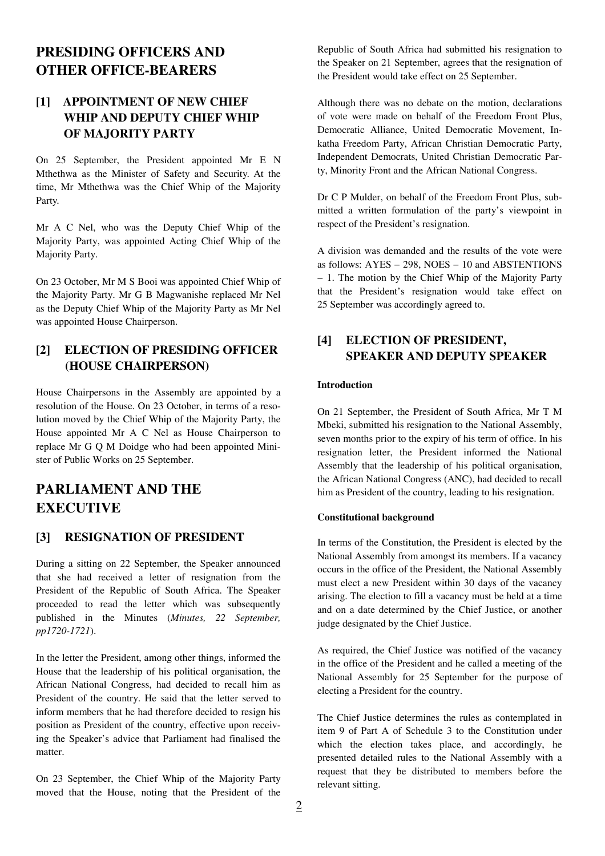# **PRESIDING OFFICERS AND OTHER OFFICE-BEARERS**

## **[1] APPOINTMENT OF NEW CHIEF WHIP AND DEPUTY CHIEF WHIP OF MAJORITY PARTY**

On 25 September, the President appointed Mr E N Mthethwa as the Minister of Safety and Security. At the time, Mr Mthethwa was the Chief Whip of the Majority Party.

Mr A C Nel, who was the Deputy Chief Whip of the Majority Party, was appointed Acting Chief Whip of the Majority Party.

On 23 October, Mr M S Booi was appointed Chief Whip of the Majority Party. Mr G B Magwanishe replaced Mr Nel as the Deputy Chief Whip of the Majority Party as Mr Nel was appointed House Chairperson.

## **[2] ELECTION OF PRESIDING OFFICER (HOUSE CHAIRPERSON)**

House Chairpersons in the Assembly are appointed by a resolution of the House. On 23 October, in terms of a resolution moved by the Chief Whip of the Majority Party, the House appointed Mr A C Nel as House Chairperson to replace Mr G Q M Doidge who had been appointed Minister of Public Works on 25 September.

# **PARLIAMENT AND THE EXECUTIVE**

### **[3] RESIGNATION OF PRESIDENT**

During a sitting on 22 September, the Speaker announced that she had received a letter of resignation from the President of the Republic of South Africa. The Speaker proceeded to read the letter which was subsequently published in the Minutes (*Minutes, 22 September, pp1720-1721*).

In the letter the President, among other things, informed the House that the leadership of his political organisation, the African National Congress, had decided to recall him as President of the country. He said that the letter served to inform members that he had therefore decided to resign his position as President of the country, effective upon receiving the Speaker's advice that Parliament had finalised the matter.

On 23 September, the Chief Whip of the Majority Party moved that the House, noting that the President of the Republic of South Africa had submitted his resignation to the Speaker on 21 September, agrees that the resignation of the President would take effect on 25 September.

Although there was no debate on the motion, declarations of vote were made on behalf of the Freedom Front Plus, Democratic Alliance, United Democratic Movement, Inkatha Freedom Party, African Christian Democratic Party, Independent Democrats, United Christian Democratic Party, Minority Front and the African National Congress.

Dr C P Mulder, on behalf of the Freedom Front Plus, submitted a written formulation of the party's viewpoint in respect of the President's resignation.

A division was demanded and the results of the vote were as follows: AYES − 298, NOES − 10 and ABSTENTIONS − 1. The motion by the Chief Whip of the Majority Party that the President's resignation would take effect on 25 September was accordingly agreed to.

## **[4] ELECTION OF PRESIDENT, SPEAKER AND DEPUTY SPEAKER**

#### **Introduction**

On 21 September, the President of South Africa, Mr T M Mbeki, submitted his resignation to the National Assembly, seven months prior to the expiry of his term of office. In his resignation letter, the President informed the National Assembly that the leadership of his political organisation, the African National Congress (ANC), had decided to recall him as President of the country, leading to his resignation.

#### **Constitutional background**

In terms of the Constitution, the President is elected by the National Assembly from amongst its members. If a vacancy occurs in the office of the President, the National Assembly must elect a new President within 30 days of the vacancy arising. The election to fill a vacancy must be held at a time and on a date determined by the Chief Justice, or another judge designated by the Chief Justice.

As required, the Chief Justice was notified of the vacancy in the office of the President and he called a meeting of the National Assembly for 25 September for the purpose of electing a President for the country.

The Chief Justice determines the rules as contemplated in item 9 of Part A of Schedule 3 to the Constitution under which the election takes place, and accordingly, he presented detailed rules to the National Assembly with a request that they be distributed to members before the relevant sitting.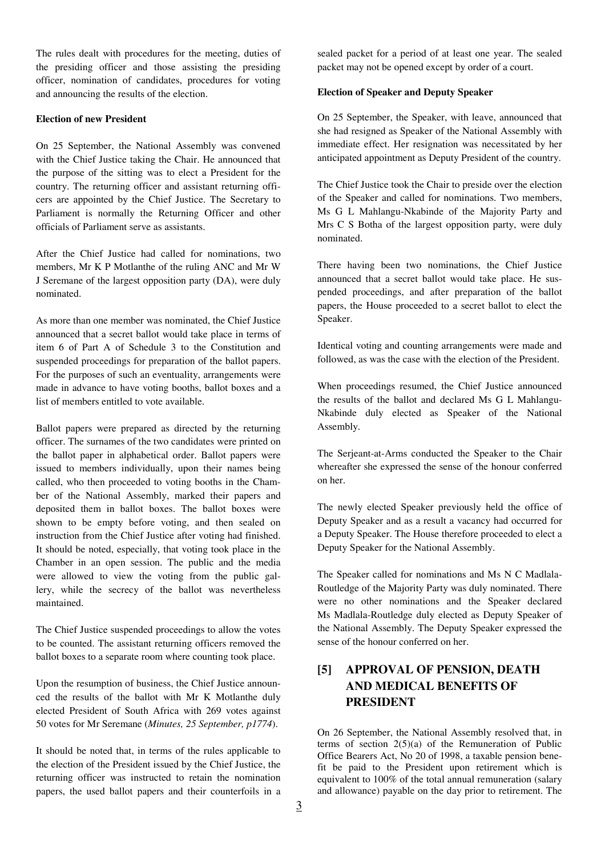The rules dealt with procedures for the meeting, duties of the presiding officer and those assisting the presiding officer, nomination of candidates, procedures for voting and announcing the results of the election.

#### **Election of new President**

On 25 September, the National Assembly was convened with the Chief Justice taking the Chair. He announced that the purpose of the sitting was to elect a President for the country. The returning officer and assistant returning officers are appointed by the Chief Justice. The Secretary to Parliament is normally the Returning Officer and other officials of Parliament serve as assistants.

After the Chief Justice had called for nominations, two members, Mr K P Motlanthe of the ruling ANC and Mr W J Seremane of the largest opposition party (DA), were duly nominated.

As more than one member was nominated, the Chief Justice announced that a secret ballot would take place in terms of item 6 of Part A of Schedule 3 to the Constitution and suspended proceedings for preparation of the ballot papers. For the purposes of such an eventuality, arrangements were made in advance to have voting booths, ballot boxes and a list of members entitled to vote available.

Ballot papers were prepared as directed by the returning officer. The surnames of the two candidates were printed on the ballot paper in alphabetical order. Ballot papers were issued to members individually, upon their names being called, who then proceeded to voting booths in the Chamber of the National Assembly, marked their papers and deposited them in ballot boxes. The ballot boxes were shown to be empty before voting, and then sealed on instruction from the Chief Justice after voting had finished. It should be noted, especially, that voting took place in the Chamber in an open session. The public and the media were allowed to view the voting from the public gallery, while the secrecy of the ballot was nevertheless maintained.

The Chief Justice suspended proceedings to allow the votes to be counted. The assistant returning officers removed the ballot boxes to a separate room where counting took place.

Upon the resumption of business, the Chief Justice announced the results of the ballot with Mr K Motlanthe duly elected President of South Africa with 269 votes against 50 votes for Mr Seremane (*Minutes, 25 September, p1774*).

It should be noted that, in terms of the rules applicable to the election of the President issued by the Chief Justice, the returning officer was instructed to retain the nomination papers, the used ballot papers and their counterfoils in a sealed packet for a period of at least one year. The sealed packet may not be opened except by order of a court.

#### **Election of Speaker and Deputy Speaker**

On 25 September, the Speaker, with leave, announced that she had resigned as Speaker of the National Assembly with immediate effect. Her resignation was necessitated by her anticipated appointment as Deputy President of the country.

The Chief Justice took the Chair to preside over the election of the Speaker and called for nominations. Two members, Ms G L Mahlangu-Nkabinde of the Majority Party and Mrs C S Botha of the largest opposition party, were duly nominated.

There having been two nominations, the Chief Justice announced that a secret ballot would take place. He suspended proceedings, and after preparation of the ballot papers, the House proceeded to a secret ballot to elect the Speaker.

Identical voting and counting arrangements were made and followed, as was the case with the election of the President.

When proceedings resumed, the Chief Justice announced the results of the ballot and declared Ms G L Mahlangu-Nkabinde duly elected as Speaker of the National Assembly.

The Serjeant-at-Arms conducted the Speaker to the Chair whereafter she expressed the sense of the honour conferred on her.

The newly elected Speaker previously held the office of Deputy Speaker and as a result a vacancy had occurred for a Deputy Speaker. The House therefore proceeded to elect a Deputy Speaker for the National Assembly.

The Speaker called for nominations and Ms N C Madlala-Routledge of the Majority Party was duly nominated. There were no other nominations and the Speaker declared Ms Madlala-Routledge duly elected as Deputy Speaker of the National Assembly. The Deputy Speaker expressed the sense of the honour conferred on her.

## **[5] APPROVAL OF PENSION, DEATH AND MEDICAL BENEFITS OF PRESIDENT**

On 26 September, the National Assembly resolved that, in terms of section  $2(5)(a)$  of the Remuneration of Public Office Bearers Act, No 20 of 1998, a taxable pension benefit be paid to the President upon retirement which is equivalent to 100% of the total annual remuneration (salary and allowance) payable on the day prior to retirement. The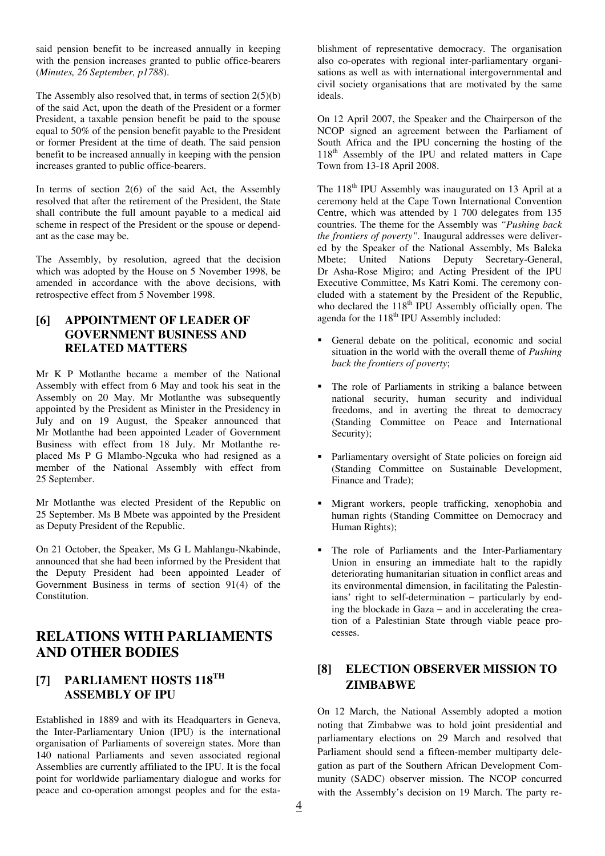said pension benefit to be increased annually in keeping with the pension increases granted to public office-bearers (*Minutes, 26 September, p1788*).

The Assembly also resolved that, in terms of section 2(5)(b) of the said Act, upon the death of the President or a former President, a taxable pension benefit be paid to the spouse equal to 50% of the pension benefit payable to the President or former President at the time of death. The said pension benefit to be increased annually in keeping with the pension increases granted to public office-bearers.

In terms of section  $2(6)$  of the said Act, the Assembly resolved that after the retirement of the President, the State shall contribute the full amount payable to a medical aid scheme in respect of the President or the spouse or dependant as the case may be.

The Assembly, by resolution, agreed that the decision which was adopted by the House on 5 November 1998, be amended in accordance with the above decisions, with retrospective effect from 5 November 1998.

### **[6] APPOINTMENT OF LEADER OF GOVERNMENT BUSINESS AND RELATED MATTERS**

Mr K P Motlanthe became a member of the National Assembly with effect from 6 May and took his seat in the Assembly on 20 May. Mr Motlanthe was subsequently appointed by the President as Minister in the Presidency in July and on 19 August, the Speaker announced that Mr Motlanthe had been appointed Leader of Government Business with effect from 18 July. Mr Motlanthe replaced Ms P G Mlambo-Ngcuka who had resigned as a member of the National Assembly with effect from 25 September.

Mr Motlanthe was elected President of the Republic on 25 September. Ms B Mbete was appointed by the President as Deputy President of the Republic.

On 21 October, the Speaker, Ms G L Mahlangu-Nkabinde, announced that she had been informed by the President that the Deputy President had been appointed Leader of Government Business in terms of section 91(4) of the Constitution.

## **RELATIONS WITH PARLIAMENTS AND OTHER BODIES**

### **[7] PARLIAMENT HOSTS 118TH ASSEMBLY OF IPU**

Established in 1889 and with its Headquarters in Geneva, the Inter-Parliamentary Union (IPU) is the international organisation of Parliaments of sovereign states. More than 140 national Parliaments and seven associated regional Assemblies are currently affiliated to the IPU. It is the focal point for worldwide parliamentary dialogue and works for peace and co-operation amongst peoples and for the establishment of representative democracy. The organisation also co-operates with regional inter-parliamentary organisations as well as with international intergovernmental and civil society organisations that are motivated by the same ideals.

On 12 April 2007, the Speaker and the Chairperson of the NCOP signed an agreement between the Parliament of South Africa and the IPU concerning the hosting of the 118<sup>th</sup> Assembly of the IPU and related matters in Cape Town from 13-18 April 2008.

The  $118<sup>th</sup>$  IPU Assembly was inaugurated on 13 April at a ceremony held at the Cape Town International Convention Centre, which was attended by 1 700 delegates from 135 countries. The theme for the Assembly was *"Pushing back the frontiers of poverty".* Inaugural addresses were delivered by the Speaker of the National Assembly, Ms Baleka Mbete; United Nations Deputy Secretary-General, Dr Asha-Rose Migiro; and Acting President of the IPU Executive Committee, Ms Katri Komi. The ceremony concluded with a statement by the President of the Republic, who declared the  $118<sup>th</sup>$  IPU Assembly officially open. The agenda for the  $118<sup>th</sup>$  IPU Assembly included:

- General debate on the political, economic and social situation in the world with the overall theme of *Pushing back the frontiers of poverty*;
- The role of Parliaments in striking a balance between national security, human security and individual freedoms, and in averting the threat to democracy (Standing Committee on Peace and International Security);
- Parliamentary oversight of State policies on foreign aid (Standing Committee on Sustainable Development, Finance and Trade);
- Migrant workers, people trafficking, xenophobia and human rights (Standing Committee on Democracy and Human Rights);
- The role of Parliaments and the Inter-Parliamentary Union in ensuring an immediate halt to the rapidly deteriorating humanitarian situation in conflict areas and its environmental dimension, in facilitating the Palestinians' right to self-determination − particularly by ending the blockade in Gaza − and in accelerating the creation of a Palestinian State through viable peace processes.

### **[8] ELECTION OBSERVER MISSION TO ZIMBABWE**

On 12 March, the National Assembly adopted a motion noting that Zimbabwe was to hold joint presidential and parliamentary elections on 29 March and resolved that Parliament should send a fifteen-member multiparty delegation as part of the Southern African Development Community (SADC) observer mission. The NCOP concurred with the Assembly's decision on 19 March. The party re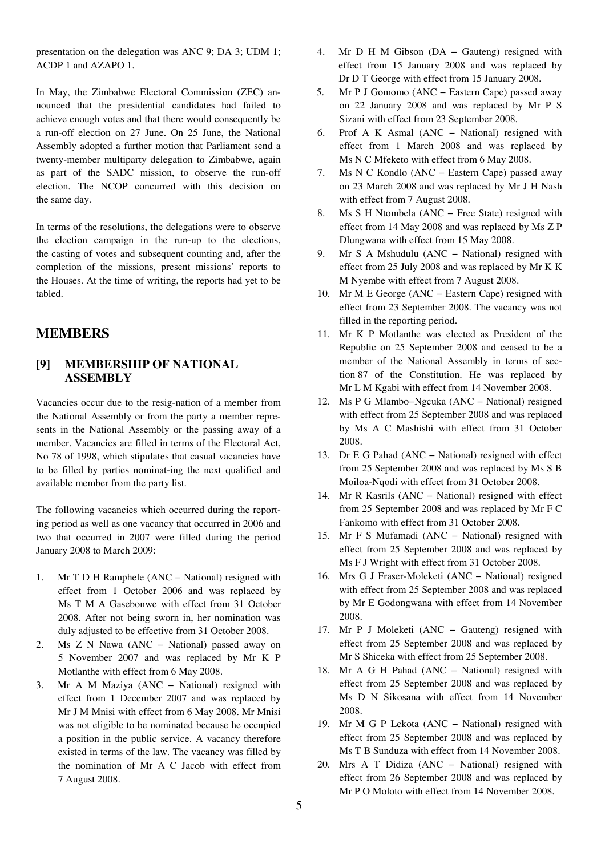presentation on the delegation was ANC 9; DA 3; UDM 1; ACDP 1 and AZAPO 1.

In May, the Zimbabwe Electoral Commission (ZEC) announced that the presidential candidates had failed to achieve enough votes and that there would consequently be a run-off election on 27 June. On 25 June, the National Assembly adopted a further motion that Parliament send a twenty-member multiparty delegation to Zimbabwe, again as part of the SADC mission, to observe the run-off election. The NCOP concurred with this decision on the same day.

In terms of the resolutions, the delegations were to observe the election campaign in the run-up to the elections, the casting of votes and subsequent counting and, after the completion of the missions, present missions' reports to the Houses. At the time of writing, the reports had yet to be tabled.

### **MEMBERS**

### **[9] MEMBERSHIP OF NATIONAL ASSEMBLY**

Vacancies occur due to the resig-nation of a member from the National Assembly or from the party a member represents in the National Assembly or the passing away of a member. Vacancies are filled in terms of the Electoral Act, No 78 of 1998, which stipulates that casual vacancies have to be filled by parties nominat-ing the next qualified and available member from the party list.

The following vacancies which occurred during the reporting period as well as one vacancy that occurred in 2006 and two that occurred in 2007 were filled during the period January 2008 to March 2009:

- 1. Mr T D H Ramphele (ANC − National) resigned with effect from 1 October 2006 and was replaced by Ms T M A Gasebonwe with effect from 31 October 2008. After not being sworn in, her nomination was duly adjusted to be effective from 31 October 2008.
- 2. Ms Z N Nawa (ANC − National) passed away on 5 November 2007 and was replaced by Mr K P Motlanthe with effect from 6 May 2008.
- 3. Mr A M Maziya (ANC − National) resigned with effect from 1 December 2007 and was replaced by Mr J M Mnisi with effect from 6 May 2008. Mr Mnisi was not eligible to be nominated because he occupied a position in the public service. A vacancy therefore existed in terms of the law. The vacancy was filled by the nomination of Mr A C Jacob with effect from 7 August 2008.
- 4. Mr D H M Gibson (DA − Gauteng) resigned with effect from 15 January 2008 and was replaced by Dr D T George with effect from 15 January 2008.
- 5. Mr P J Gomomo (ANC − Eastern Cape) passed away on 22 January 2008 and was replaced by Mr P S Sizani with effect from 23 September 2008.
- 6. Prof A K Asmal (ANC − National) resigned with effect from 1 March 2008 and was replaced by Ms N C Mfeketo with effect from 6 May 2008.
- 7. Ms N C Kondlo (ANC − Eastern Cape) passed away on 23 March 2008 and was replaced by Mr J H Nash with effect from 7 August 2008.
- 8. Ms S H Ntombela (ANC − Free State) resigned with effect from 14 May 2008 and was replaced by Ms Z P Dlungwana with effect from 15 May 2008.
- 9. Mr S A Mshudulu (ANC − National) resigned with effect from 25 July 2008 and was replaced by Mr K K M Nyembe with effect from 7 August 2008.
- 10. Mr M E George (ANC − Eastern Cape) resigned with effect from 23 September 2008. The vacancy was not filled in the reporting period.
- 11. Mr K P Motlanthe was elected as President of the Republic on 25 September 2008 and ceased to be a member of the National Assembly in terms of section 87 of the Constitution. He was replaced by Mr L M Kgabi with effect from 14 November 2008.
- 12. Ms P G Mlambo−Ngcuka (ANC − National) resigned with effect from 25 September 2008 and was replaced by Ms A C Mashishi with effect from 31 October 2008.
- 13. Dr E G Pahad (ANC − National) resigned with effect from 25 September 2008 and was replaced by Ms S B Moiloa-Nqodi with effect from 31 October 2008.
- 14. Mr R Kasrils (ANC − National) resigned with effect from 25 September 2008 and was replaced by Mr F C Fankomo with effect from 31 October 2008.
- 15. Mr F S Mufamadi (ANC − National) resigned with effect from 25 September 2008 and was replaced by Ms F J Wright with effect from 31 October 2008.
- 16. Mrs G J Fraser-Moleketi (ANC − National) resigned with effect from 25 September 2008 and was replaced by Mr E Godongwana with effect from 14 November 2008.
- 17. Mr P J Moleketi (ANC − Gauteng) resigned with effect from 25 September 2008 and was replaced by Mr S Shiceka with effect from 25 September 2008.
- 18. Mr A G H Pahad (ANC − National) resigned with effect from 25 September 2008 and was replaced by Ms D N Sikosana with effect from 14 November 2008.
- 19. Mr M G P Lekota (ANC − National) resigned with effect from 25 September 2008 and was replaced by Ms T B Sunduza with effect from 14 November 2008.
- 20. Mrs A T Didiza (ANC − National) resigned with effect from 26 September 2008 and was replaced by Mr P O Moloto with effect from 14 November 2008.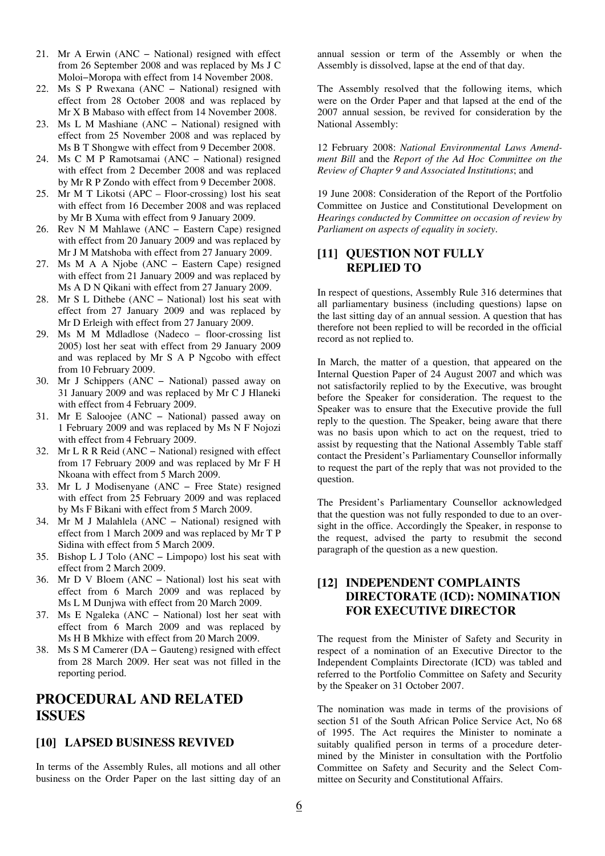- 21. Mr A Erwin (ANC − National) resigned with effect from 26 September 2008 and was replaced by Ms J C Moloi−Moropa with effect from 14 November 2008.
- 22. Ms S P Rwexana (ANC − National) resigned with effect from 28 October 2008 and was replaced by Mr X B Mabaso with effect from 14 November 2008.
- 23. Ms L M Mashiane (ANC − National) resigned with effect from 25 November 2008 and was replaced by Ms B T Shongwe with effect from 9 December 2008.
- 24. Ms C M P Ramotsamai (ANC − National) resigned with effect from 2 December 2008 and was replaced by Mr R P Zondo with effect from 9 December 2008.
- 25. Mr M T Likotsi (APC Floor-crossing) lost his seat with effect from 16 December 2008 and was replaced by Mr B Xuma with effect from 9 January 2009.
- 26. Rev N M Mahlawe (ANC − Eastern Cape) resigned with effect from 20 January 2009 and was replaced by Mr J M Matshoba with effect from 27 January 2009.
- 27. Ms M A A Njobe (ANC Eastern Cape) resigned with effect from 21 January 2009 and was replaced by Ms A D N Qikani with effect from 27 January 2009.
- 28. Mr S L Dithebe (ANC − National) lost his seat with effect from 27 January 2009 and was replaced by Mr D Erleigh with effect from 27 January 2009.
- 29. Ms M M Mdladlose (Nadeco floor-crossing list 2005) lost her seat with effect from 29 January 2009 and was replaced by Mr S A P Ngcobo with effect from 10 February 2009.
- 30. Mr J Schippers (ANC − National) passed away on 31 January 2009 and was replaced by Mr C J Hlaneki with effect from 4 February 2009.
- 31. Mr E Saloojee (ANC − National) passed away on 1 February 2009 and was replaced by Ms N F Nojozi with effect from 4 February 2009.
- 32. Mr L R R Reid (ANC − National) resigned with effect from 17 February 2009 and was replaced by Mr F H Nkoana with effect from 5 March 2009.
- 33. Mr L J Modisenyane (ANC − Free State) resigned with effect from 25 February 2009 and was replaced by Ms F Bikani with effect from 5 March 2009.
- 34. Mr M J Malahlela (ANC − National) resigned with effect from 1 March 2009 and was replaced by Mr T P Sidina with effect from 5 March 2009.
- 35. Bishop L J Tolo (ANC − Limpopo) lost his seat with effect from 2 March 2009.
- 36. Mr D V Bloem (ANC − National) lost his seat with effect from 6 March 2009 and was replaced by Ms L M Dunjwa with effect from 20 March 2009.
- 37. Ms E Ngaleka (ANC − National) lost her seat with effect from 6 March 2009 and was replaced by Ms H B Mkhize with effect from 20 March 2009.
- 38. Ms S M Camerer (DA − Gauteng) resigned with effect from 28 March 2009. Her seat was not filled in the reporting period.

## **PROCEDURAL AND RELATED ISSUES**

### **[10] LAPSED BUSINESS REVIVED**

In terms of the Assembly Rules, all motions and all other business on the Order Paper on the last sitting day of an annual session or term of the Assembly or when the Assembly is dissolved, lapse at the end of that day.

The Assembly resolved that the following items, which were on the Order Paper and that lapsed at the end of the 2007 annual session, be revived for consideration by the National Assembly:

12 February 2008: *National Environmental Laws Amendment Bill* and the *Report of the Ad Hoc Committee on the Review of Chapter 9 and Associated Institutions*; and

19 June 2008: Consideration of the Report of the Portfolio Committee on Justice and Constitutional Development on *Hearings conducted by Committee on occasion of review by Parliament on aspects of equality in society*.

### **[11] QUESTION NOT FULLY REPLIED TO**

In respect of questions, Assembly Rule 316 determines that all parliamentary business (including questions) lapse on the last sitting day of an annual session. A question that has therefore not been replied to will be recorded in the official record as not replied to.

In March, the matter of a question, that appeared on the Internal Question Paper of 24 August 2007 and which was not satisfactorily replied to by the Executive, was brought before the Speaker for consideration. The request to the Speaker was to ensure that the Executive provide the full reply to the question. The Speaker, being aware that there was no basis upon which to act on the request, tried to assist by requesting that the National Assembly Table staff contact the President's Parliamentary Counsellor informally to request the part of the reply that was not provided to the question.

The President's Parliamentary Counsellor acknowledged that the question was not fully responded to due to an oversight in the office. Accordingly the Speaker, in response to the request, advised the party to resubmit the second paragraph of the question as a new question.

### **[12] INDEPENDENT COMPLAINTS DIRECTORATE (ICD): NOMINATION FOR EXECUTIVE DIRECTOR**

The request from the Minister of Safety and Security in respect of a nomination of an Executive Director to the Independent Complaints Directorate (ICD) was tabled and referred to the Portfolio Committee on Safety and Security by the Speaker on 31 October 2007.

The nomination was made in terms of the provisions of section 51 of the South African Police Service Act, No 68 of 1995. The Act requires the Minister to nominate a suitably qualified person in terms of a procedure determined by the Minister in consultation with the Portfolio Committee on Safety and Security and the Select Committee on Security and Constitutional Affairs.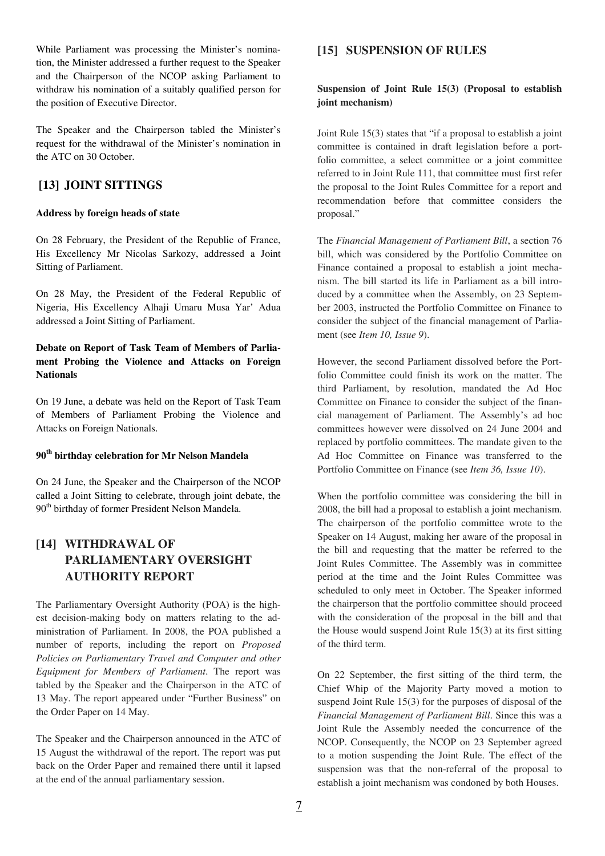While Parliament was processing the Minister's nomination, the Minister addressed a further request to the Speaker and the Chairperson of the NCOP asking Parliament to withdraw his nomination of a suitably qualified person for the position of Executive Director.

The Speaker and the Chairperson tabled the Minister's request for the withdrawal of the Minister's nomination in the ATC on 30 October.

### **[13] JOINT SITTINGS**

#### **Address by foreign heads of state**

On 28 February, the President of the Republic of France, His Excellency Mr Nicolas Sarkozy, addressed a Joint Sitting of Parliament.

On 28 May, the President of the Federal Republic of Nigeria, His Excellency Alhaji Umaru Musa Yar' Adua addressed a Joint Sitting of Parliament.

### **Debate on Report of Task Team of Members of Parliament Probing the Violence and Attacks on Foreign Nationals**

On 19 June, a debate was held on the Report of Task Team of Members of Parliament Probing the Violence and Attacks on Foreign Nationals.

#### **90th birthday celebration for Mr Nelson Mandela**

On 24 June, the Speaker and the Chairperson of the NCOP called a Joint Sitting to celebrate, through joint debate, the 90<sup>th</sup> birthday of former President Nelson Mandela.

## **[14] WITHDRAWAL OF PARLIAMENTARY OVERSIGHT AUTHORITY REPORT**

The Parliamentary Oversight Authority (POA) is the highest decision-making body on matters relating to the administration of Parliament. In 2008, the POA published a number of reports, including the report on *Proposed Policies on Parliamentary Travel and Computer and other Equipment for Members of Parliament*. The report was tabled by the Speaker and the Chairperson in the ATC of 13 May. The report appeared under "Further Business" on the Order Paper on 14 May.

The Speaker and the Chairperson announced in the ATC of 15 August the withdrawal of the report. The report was put back on the Order Paper and remained there until it lapsed at the end of the annual parliamentary session.

### **[15] SUSPENSION OF RULES**

### **Suspension of Joint Rule 15(3) (Proposal to establish joint mechanism)**

Joint Rule 15(3) states that "if a proposal to establish a joint committee is contained in draft legislation before a portfolio committee, a select committee or a joint committee referred to in Joint Rule 111, that committee must first refer the proposal to the Joint Rules Committee for a report and recommendation before that committee considers the proposal."

The *Financial Management of Parliament Bill*, a section 76 bill, which was considered by the Portfolio Committee on Finance contained a proposal to establish a joint mechanism. The bill started its life in Parliament as a bill introduced by a committee when the Assembly, on 23 September 2003, instructed the Portfolio Committee on Finance to consider the subject of the financial management of Parliament (see *Item 10, Issue 9*).

However, the second Parliament dissolved before the Portfolio Committee could finish its work on the matter. The third Parliament, by resolution, mandated the Ad Hoc Committee on Finance to consider the subject of the financial management of Parliament. The Assembly's ad hoc committees however were dissolved on 24 June 2004 and replaced by portfolio committees. The mandate given to the Ad Hoc Committee on Finance was transferred to the Portfolio Committee on Finance (see *Item 36, Issue 10*).

When the portfolio committee was considering the bill in 2008, the bill had a proposal to establish a joint mechanism. The chairperson of the portfolio committee wrote to the Speaker on 14 August, making her aware of the proposal in the bill and requesting that the matter be referred to the Joint Rules Committee. The Assembly was in committee period at the time and the Joint Rules Committee was scheduled to only meet in October. The Speaker informed the chairperson that the portfolio committee should proceed with the consideration of the proposal in the bill and that the House would suspend Joint Rule 15(3) at its first sitting of the third term.

On 22 September, the first sitting of the third term, the Chief Whip of the Majority Party moved a motion to suspend Joint Rule 15(3) for the purposes of disposal of the *Financial Management of Parliament Bill*. Since this was a Joint Rule the Assembly needed the concurrence of the NCOP. Consequently, the NCOP on 23 September agreed to a motion suspending the Joint Rule. The effect of the suspension was that the non-referral of the proposal to establish a joint mechanism was condoned by both Houses.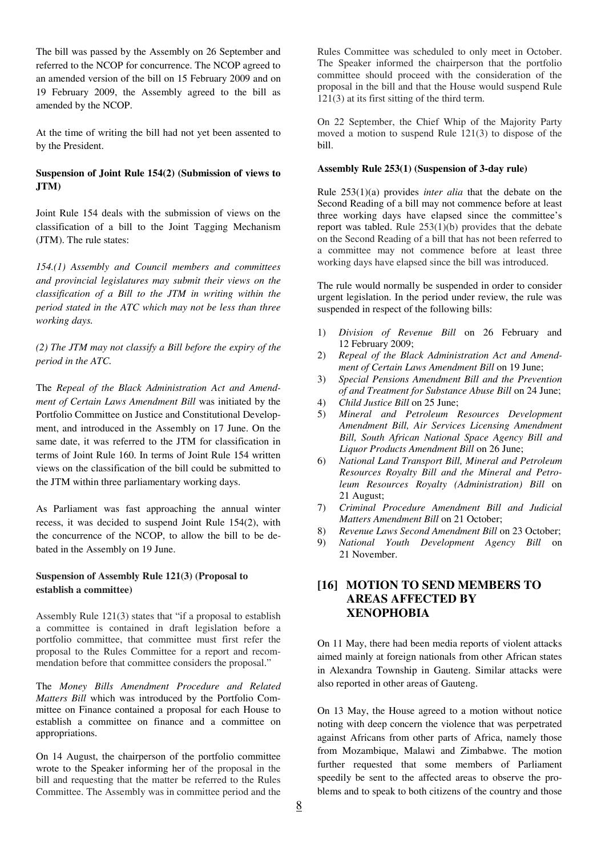The bill was passed by the Assembly on 26 September and referred to the NCOP for concurrence. The NCOP agreed to an amended version of the bill on 15 February 2009 and on 19 February 2009, the Assembly agreed to the bill as amended by the NCOP.

At the time of writing the bill had not yet been assented to by the President.

### **Suspension of Joint Rule 154(2) (Submission of views to JTM)**

Joint Rule 154 deals with the submission of views on the classification of a bill to the Joint Tagging Mechanism (JTM). The rule states:

*154.(1) Assembly and Council members and committees and provincial legislatures may submit their views on the classification of a Bill to the JTM in writing within the period stated in the ATC which may not be less than three working days.* 

*(2) The JTM may not classify a Bill before the expiry of the period in the ATC.* 

The *Repeal of the Black Administration Act and Amendment of Certain Laws Amendment Bill* was initiated by the Portfolio Committee on Justice and Constitutional Development, and introduced in the Assembly on 17 June. On the same date, it was referred to the JTM for classification in terms of Joint Rule 160. In terms of Joint Rule 154 written views on the classification of the bill could be submitted to the JTM within three parliamentary working days.

As Parliament was fast approaching the annual winter recess, it was decided to suspend Joint Rule 154(2), with the concurrence of the NCOP, to allow the bill to be debated in the Assembly on 19 June.

### **Suspension of Assembly Rule 121(3) (Proposal to establish a committee)**

Assembly Rule 121(3) states that "if a proposal to establish a committee is contained in draft legislation before a portfolio committee, that committee must first refer the proposal to the Rules Committee for a report and recommendation before that committee considers the proposal."

The *Money Bills Amendment Procedure and Related Matters Bill* which was introduced by the Portfolio Committee on Finance contained a proposal for each House to establish a committee on finance and a committee on appropriations.

On 14 August, the chairperson of the portfolio committee wrote to the Speaker informing her of the proposal in the bill and requesting that the matter be referred to the Rules Committee. The Assembly was in committee period and the Rules Committee was scheduled to only meet in October. The Speaker informed the chairperson that the portfolio committee should proceed with the consideration of the proposal in the bill and that the House would suspend Rule 121(3) at its first sitting of the third term.

On 22 September, the Chief Whip of the Majority Party moved a motion to suspend Rule 121(3) to dispose of the bill.

#### **Assembly Rule 253(1) (Suspension of 3-day rule)**

Rule 253(1)(a) provides *inter alia* that the debate on the Second Reading of a bill may not commence before at least three working days have elapsed since the committee's report was tabled. Rule 253(1)(b) provides that the debate on the Second Reading of a bill that has not been referred to a committee may not commence before at least three working days have elapsed since the bill was introduced.

The rule would normally be suspended in order to consider urgent legislation. In the period under review, the rule was suspended in respect of the following bills:

- 1) *Division of Revenue Bill* on 26 February and 12 February 2009;
- 2) *Repeal of the Black Administration Act and Amendment of Certain Laws Amendment Bill* on 19 June;
- 3) *Special Pensions Amendment Bill and the Prevention of and Treatment for Substance Abuse Bill* on 24 June;
- 4) *Child Justice Bill* on 25 June;
- 5) *Mineral and Petroleum Resources Development Amendment Bill, Air Services Licensing Amendment Bill, South African National Space Agency Bill and Liquor Products Amendment Bill* on 26 June;
- 6) *National Land Transport Bill, Mineral and Petroleum Resources Royalty Bill and the Mineral and Petroleum Resources Royalty (Administration) Bill* on 21 August;
- 7) *Criminal Procedure Amendment Bill and Judicial Matters Amendment Bill* on 21 October;
- 8) *Revenue Laws Second Amendment Bill* on 23 October;
- 9) *National Youth Development Agency Bill* on 21 November.

### **[16] MOTION TO SEND MEMBERS TO AREAS AFFECTED BY XENOPHOBIA**

On 11 May, there had been media reports of violent attacks aimed mainly at foreign nationals from other African states in Alexandra Township in Gauteng. Similar attacks were also reported in other areas of Gauteng.

On 13 May, the House agreed to a motion without notice noting with deep concern the violence that was perpetrated against Africans from other parts of Africa, namely those from Mozambique, Malawi and Zimbabwe. The motion further requested that some members of Parliament speedily be sent to the affected areas to observe the problems and to speak to both citizens of the country and those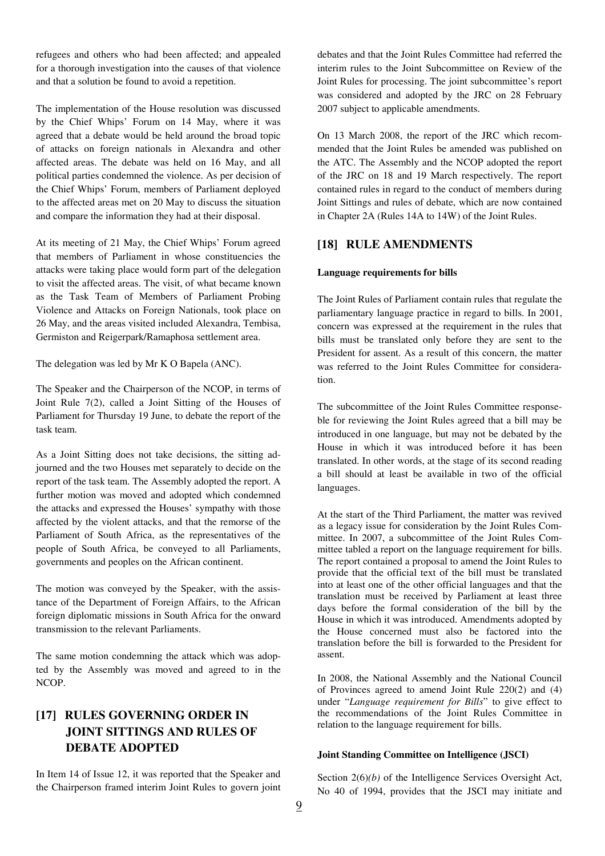refugees and others who had been affected; and appealed for a thorough investigation into the causes of that violence and that a solution be found to avoid a repetition.

The implementation of the House resolution was discussed by the Chief Whips' Forum on 14 May, where it was agreed that a debate would be held around the broad topic of attacks on foreign nationals in Alexandra and other affected areas. The debate was held on 16 May, and all political parties condemned the violence. As per decision of the Chief Whips' Forum, members of Parliament deployed to the affected areas met on 20 May to discuss the situation and compare the information they had at their disposal.

At its meeting of 21 May, the Chief Whips' Forum agreed that members of Parliament in whose constituencies the attacks were taking place would form part of the delegation to visit the affected areas. The visit, of what became known as the Task Team of Members of Parliament Probing Violence and Attacks on Foreign Nationals, took place on 26 May, and the areas visited included Alexandra, Tembisa, Germiston and Reigerpark/Ramaphosa settlement area.

The delegation was led by Mr K O Bapela (ANC).

The Speaker and the Chairperson of the NCOP, in terms of Joint Rule 7(2), called a Joint Sitting of the Houses of Parliament for Thursday 19 June, to debate the report of the task team.

As a Joint Sitting does not take decisions, the sitting adjourned and the two Houses met separately to decide on the report of the task team. The Assembly adopted the report. A further motion was moved and adopted which condemned the attacks and expressed the Houses' sympathy with those affected by the violent attacks, and that the remorse of the Parliament of South Africa, as the representatives of the people of South Africa, be conveyed to all Parliaments, governments and peoples on the African continent.

The motion was conveyed by the Speaker, with the assistance of the Department of Foreign Affairs, to the African foreign diplomatic missions in South Africa for the onward transmission to the relevant Parliaments.

The same motion condemning the attack which was adopted by the Assembly was moved and agreed to in the NCOP.

## **[17] RULES GOVERNING ORDER IN JOINT SITTINGS AND RULES OF DEBATE ADOPTED**

In Item 14 of Issue 12, it was reported that the Speaker and the Chairperson framed interim Joint Rules to govern joint debates and that the Joint Rules Committee had referred the interim rules to the Joint Subcommittee on Review of the Joint Rules for processing. The joint subcommittee's report was considered and adopted by the JRC on 28 February 2007 subject to applicable amendments.

On 13 March 2008, the report of the JRC which recommended that the Joint Rules be amended was published on the ATC. The Assembly and the NCOP adopted the report of the JRC on 18 and 19 March respectively. The report contained rules in regard to the conduct of members during Joint Sittings and rules of debate, which are now contained in Chapter 2A (Rules 14A to 14W) of the Joint Rules.

### **[18] RULE AMENDMENTS**

#### **Language requirements for bills**

The Joint Rules of Parliament contain rules that regulate the parliamentary language practice in regard to bills. In 2001, concern was expressed at the requirement in the rules that bills must be translated only before they are sent to the President for assent. As a result of this concern, the matter was referred to the Joint Rules Committee for consideration.

The subcommittee of the Joint Rules Committee responseble for reviewing the Joint Rules agreed that a bill may be introduced in one language, but may not be debated by the House in which it was introduced before it has been translated. In other words, at the stage of its second reading a bill should at least be available in two of the official languages.

At the start of the Third Parliament, the matter was revived as a legacy issue for consideration by the Joint Rules Committee. In 2007, a subcommittee of the Joint Rules Committee tabled a report on the language requirement for bills. The report contained a proposal to amend the Joint Rules to provide that the official text of the bill must be translated into at least one of the other official languages and that the translation must be received by Parliament at least three days before the formal consideration of the bill by the House in which it was introduced. Amendments adopted by the House concerned must also be factored into the translation before the bill is forwarded to the President for assent.

In 2008, the National Assembly and the National Council of Provinces agreed to amend Joint Rule 220(2) and (4) under "*Language requirement for Bills*" to give effect to the recommendations of the Joint Rules Committee in relation to the language requirement for bills.

#### **Joint Standing Committee on Intelligence (JSCI)**

Section 2(6)*(b)* of the Intelligence Services Oversight Act, No 40 of 1994, provides that the JSCI may initiate and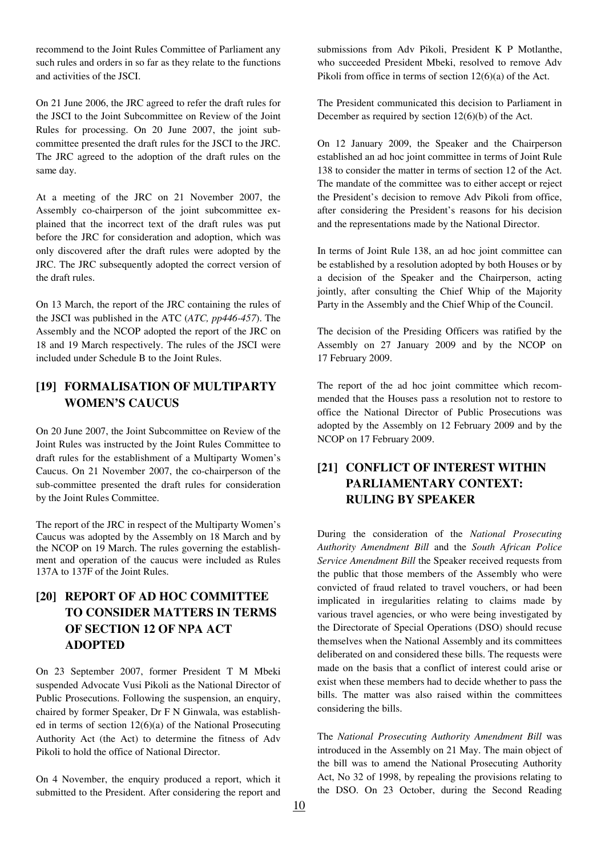recommend to the Joint Rules Committee of Parliament any such rules and orders in so far as they relate to the functions and activities of the JSCI.

On 21 June 2006, the JRC agreed to refer the draft rules for the JSCI to the Joint Subcommittee on Review of the Joint Rules for processing. On 20 June 2007, the joint subcommittee presented the draft rules for the JSCI to the JRC. The JRC agreed to the adoption of the draft rules on the same day.

At a meeting of the JRC on 21 November 2007, the Assembly co-chairperson of the joint subcommittee explained that the incorrect text of the draft rules was put before the JRC for consideration and adoption, which was only discovered after the draft rules were adopted by the JRC. The JRC subsequently adopted the correct version of the draft rules.

On 13 March, the report of the JRC containing the rules of the JSCI was published in the ATC (*ATC, pp446-457*). The Assembly and the NCOP adopted the report of the JRC on 18 and 19 March respectively. The rules of the JSCI were included under Schedule B to the Joint Rules.

## **[19] FORMALISATION OF MULTIPARTY WOMEN'S CAUCUS**

On 20 June 2007, the Joint Subcommittee on Review of the Joint Rules was instructed by the Joint Rules Committee to draft rules for the establishment of a Multiparty Women's Caucus. On 21 November 2007, the co-chairperson of the sub-committee presented the draft rules for consideration by the Joint Rules Committee.

The report of the JRC in respect of the Multiparty Women's Caucus was adopted by the Assembly on 18 March and by the NCOP on 19 March. The rules governing the establishment and operation of the caucus were included as Rules 137A to 137F of the Joint Rules.

## **[20] REPORT OF AD HOC COMMITTEE TO CONSIDER MATTERS IN TERMS OF SECTION 12 OF NPA ACT ADOPTED**

On 23 September 2007, former President T M Mbeki suspended Advocate Vusi Pikoli as the National Director of Public Prosecutions. Following the suspension, an enquiry, chaired by former Speaker, Dr F N Ginwala, was established in terms of section  $12(6)(a)$  of the National Prosecuting Authority Act (the Act) to determine the fitness of Adv Pikoli to hold the office of National Director.

On 4 November, the enquiry produced a report, which it submitted to the President. After considering the report and

submissions from Adv Pikoli, President K P Motlanthe, who succeeded President Mbeki, resolved to remove Adv Pikoli from office in terms of section 12(6)(a) of the Act.

The President communicated this decision to Parliament in December as required by section 12(6)(b) of the Act.

On 12 January 2009, the Speaker and the Chairperson established an ad hoc joint committee in terms of Joint Rule 138 to consider the matter in terms of section 12 of the Act. The mandate of the committee was to either accept or reject the President's decision to remove Adv Pikoli from office, after considering the President's reasons for his decision and the representations made by the National Director.

In terms of Joint Rule 138, an ad hoc joint committee can be established by a resolution adopted by both Houses or by a decision of the Speaker and the Chairperson, acting jointly, after consulting the Chief Whip of the Majority Party in the Assembly and the Chief Whip of the Council.

The decision of the Presiding Officers was ratified by the Assembly on 27 January 2009 and by the NCOP on 17 February 2009.

The report of the ad hoc joint committee which recommended that the Houses pass a resolution not to restore to office the National Director of Public Prosecutions was adopted by the Assembly on 12 February 2009 and by the NCOP on 17 February 2009.

## **[21] CONFLICT OF INTEREST WITHIN PARLIAMENTARY CONTEXT: RULING BY SPEAKER**

During the consideration of the *National Prosecuting Authority Amendment Bill* and the *South African Police Service Amendment Bill* the Speaker received requests from the public that those members of the Assembly who were convicted of fraud related to travel vouchers, or had been implicated in iregularities relating to claims made by various travel agencies, or who were being investigated by the Directorate of Special Operations (DSO) should recuse themselves when the National Assembly and its committees deliberated on and considered these bills. The requests were made on the basis that a conflict of interest could arise or exist when these members had to decide whether to pass the bills. The matter was also raised within the committees considering the bills.

The *National Prosecuting Authority Amendment Bill* was introduced in the Assembly on 21 May. The main object of the bill was to amend the National Prosecuting Authority Act, No 32 of 1998, by repealing the provisions relating to the DSO. On 23 October, during the Second Reading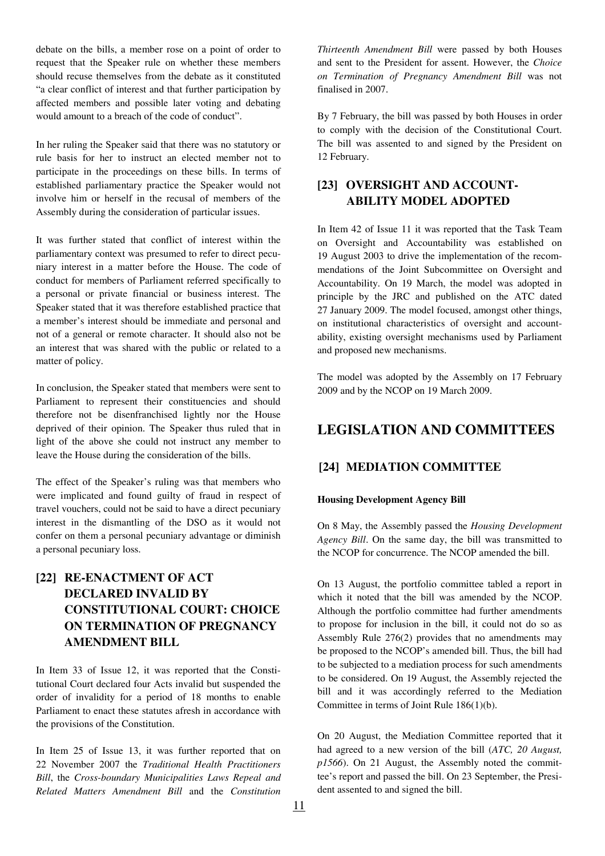debate on the bills, a member rose on a point of order to request that the Speaker rule on whether these members should recuse themselves from the debate as it constituted "a clear conflict of interest and that further participation by affected members and possible later voting and debating would amount to a breach of the code of conduct".

In her ruling the Speaker said that there was no statutory or rule basis for her to instruct an elected member not to participate in the proceedings on these bills. In terms of established parliamentary practice the Speaker would not involve him or herself in the recusal of members of the Assembly during the consideration of particular issues.

It was further stated that conflict of interest within the parliamentary context was presumed to refer to direct pecuniary interest in a matter before the House. The code of conduct for members of Parliament referred specifically to a personal or private financial or business interest. The Speaker stated that it was therefore established practice that a member's interest should be immediate and personal and not of a general or remote character. It should also not be an interest that was shared with the public or related to a matter of policy.

In conclusion, the Speaker stated that members were sent to Parliament to represent their constituencies and should therefore not be disenfranchised lightly nor the House deprived of their opinion. The Speaker thus ruled that in light of the above she could not instruct any member to leave the House during the consideration of the bills.

The effect of the Speaker's ruling was that members who were implicated and found guilty of fraud in respect of travel vouchers, could not be said to have a direct pecuniary interest in the dismantling of the DSO as it would not confer on them a personal pecuniary advantage or diminish a personal pecuniary loss.

## **[22] RE-ENACTMENT OF ACT DECLARED INVALID BY CONSTITUTIONAL COURT: CHOICE ON TERMINATION OF PREGNANCY AMENDMENT BILL**

In Item 33 of Issue 12, it was reported that the Constitutional Court declared four Acts invalid but suspended the order of invalidity for a period of 18 months to enable Parliament to enact these statutes afresh in accordance with the provisions of the Constitution.

In Item 25 of Issue 13, it was further reported that on 22 November 2007 the *Traditional Health Practitioners Bill*, the *Cross-boundary Municipalities Laws Repeal and Related Matters Amendment Bill* and the *Constitution* 

*Thirteenth Amendment Bill* were passed by both Houses and sent to the President for assent. However, the *Choice on Termination of Pregnancy Amendment Bill* was not finalised in 2007.

By 7 February, the bill was passed by both Houses in order to comply with the decision of the Constitutional Court. The bill was assented to and signed by the President on 12 February.

## **[23] OVERSIGHT AND ACCOUNT-ABILITY MODEL ADOPTED**

In Item 42 of Issue 11 it was reported that the Task Team on Oversight and Accountability was established on 19 August 2003 to drive the implementation of the recommendations of the Joint Subcommittee on Oversight and Accountability. On 19 March, the model was adopted in principle by the JRC and published on the ATC dated 27 January 2009. The model focused, amongst other things, on institutional characteristics of oversight and accountability, existing oversight mechanisms used by Parliament and proposed new mechanisms.

The model was adopted by the Assembly on 17 February 2009 and by the NCOP on 19 March 2009.

# **LEGISLATION AND COMMITTEES**

### **[24] MEDIATION COMMITTEE**

### **Housing Development Agency Bill**

On 8 May, the Assembly passed the *Housing Development Agency Bill*. On the same day, the bill was transmitted to the NCOP for concurrence. The NCOP amended the bill.

On 13 August, the portfolio committee tabled a report in which it noted that the bill was amended by the NCOP. Although the portfolio committee had further amendments to propose for inclusion in the bill, it could not do so as Assembly Rule 276(2) provides that no amendments may be proposed to the NCOP's amended bill. Thus, the bill had to be subjected to a mediation process for such amendments to be considered. On 19 August, the Assembly rejected the bill and it was accordingly referred to the Mediation Committee in terms of Joint Rule 186(1)(b).

On 20 August, the Mediation Committee reported that it had agreed to a new version of the bill (*ATC, 20 August, p1566*). On 21 August, the Assembly noted the committee's report and passed the bill. On 23 September, the President assented to and signed the bill.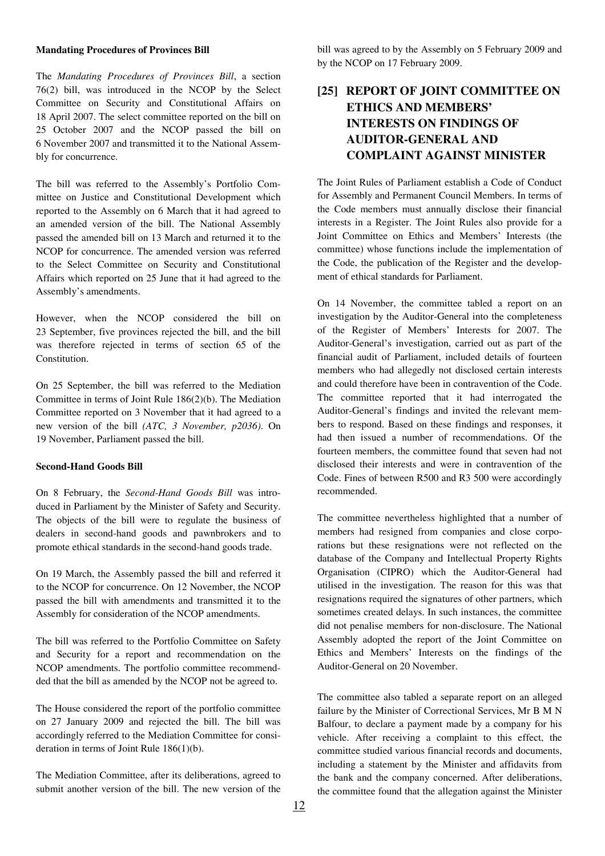#### **Mandating Procedures of Provinces Bill**

The *Mandating Procedures of Provinces Bill*, a section 76(2) bill, was introduced in the NCOP by the Select Committee on Security and Constitutional Affairs on 18 April 2007. The select committee reported on the bill on 25 October 2007 and the NCOP passed the bill on 6 November 2007 and transmitted it to the National Assembly for concurrence.

The bill was referred to the Assembly's Portfolio Committee on Justice and Constitutional Development which reported to the Assembly on 6 March that it had agreed to an amended version of the bill. The National Assembly passed the amended bill on 13 March and returned it to the NCOP for concurrence. The amended version was referred to the Select Committee on Security and Constitutional Affairs which reported on 25 June that it had agreed to the Assembly's amendments.

However, when the NCOP considered the bill on 23 September, five provinces rejected the bill, and the bill was therefore rejected in terms of section 65 of the Constitution.

On 25 September, the bill was referred to the Mediation Committee in terms of Joint Rule 186(2)(b). The Mediation Committee reported on 3 November that it had agreed to a new version of the bill *(ATC, 3 November, p2036)*. On 19 November, Parliament passed the bill.

#### **Second-Hand Goods Bill**

On 8 February, the *Second-Hand Goods Bill* was introduced in Parliament by the Minister of Safety and Security. The objects of the bill were to regulate the business of dealers in second-hand goods and pawnbrokers and to promote ethical standards in the second-hand goods trade.

On 19 March, the Assembly passed the bill and referred it to the NCOP for concurrence. On 12 November, the NCOP passed the bill with amendments and transmitted it to the Assembly for consideration of the NCOP amendments.

The bill was referred to the Portfolio Committee on Safety and Security for a report and recommendation on the NCOP amendments. The portfolio committee recommendded that the bill as amended by the NCOP not be agreed to.

The House considered the report of the portfolio committee on 27 January 2009 and rejected the bill. The bill was accordingly referred to the Mediation Committee for consideration in terms of Joint Rule 186(1)(b).

The Mediation Committee, after its deliberations, agreed to submit another version of the bill. The new version of the bill was agreed to by the Assembly on 5 February 2009 and by the NCOP on 17 February 2009.

## **[25] REPORT OF JOINT COMMITTEE ON ETHICS AND MEMBERS' INTERESTS ON FINDINGS OF AUDITOR-GENERAL AND COMPLAINT AGAINST MINISTER**

The Joint Rules of Parliament establish a Code of Conduct for Assembly and Permanent Council Members. In terms of the Code members must annually disclose their financial interests in a Register. The Joint Rules also provide for a Joint Committee on Ethics and Members' Interests (the committee) whose functions include the implementation of the Code, the publication of the Register and the development of ethical standards for Parliament.

On 14 November, the committee tabled a report on an investigation by the Auditor-General into the completeness of the Register of Members' Interests for 2007. The Auditor-General's investigation, carried out as part of the financial audit of Parliament, included details of fourteen members who had allegedly not disclosed certain interests and could therefore have been in contravention of the Code. The committee reported that it had interrogated the Auditor-General's findings and invited the relevant members to respond. Based on these findings and responses, it had then issued a number of recommendations. Of the fourteen members, the committee found that seven had not disclosed their interests and were in contravention of the Code. Fines of between R500 and R3 500 were accordingly recommended.

The committee nevertheless highlighted that a number of members had resigned from companies and close corporations but these resignations were not reflected on the database of the Company and Intellectual Property Rights Organisation (CIPRO) which the Auditor-General had utilised in the investigation. The reason for this was that resignations required the signatures of other partners, which sometimes created delays. In such instances, the committee did not penalise members for non-disclosure. The National Assembly adopted the report of the Joint Committee on Ethics and Members' Interests on the findings of the Auditor-General on 20 November.

The committee also tabled a separate report on an alleged failure by the Minister of Correctional Services, Mr B M N Balfour, to declare a payment made by a company for his vehicle. After receiving a complaint to this effect, the committee studied various financial records and documents, including a statement by the Minister and affidavits from the bank and the company concerned. After deliberations, the committee found that the allegation against the Minister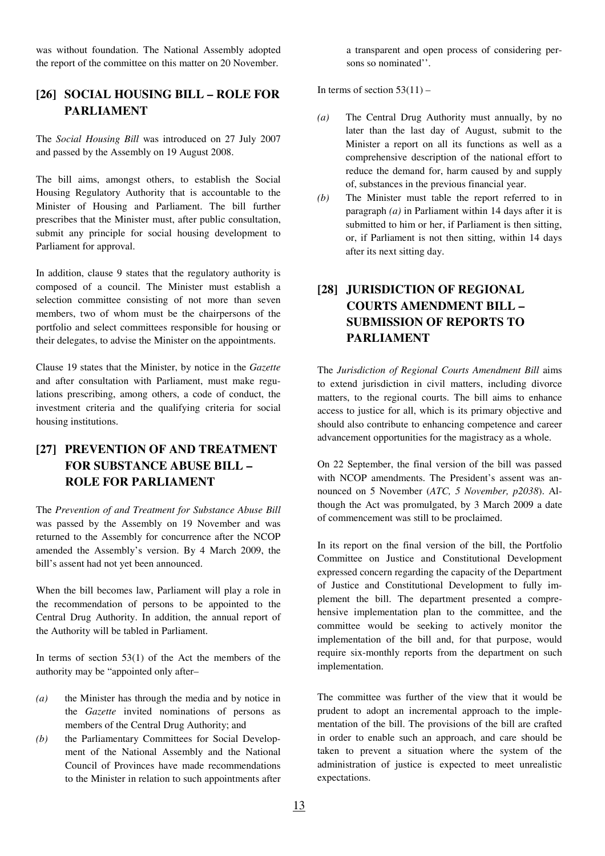was without foundation. The National Assembly adopted the report of the committee on this matter on 20 November.

### **[26] SOCIAL HOUSING BILL – ROLE FOR PARLIAMENT**

The *Social Housing Bill* was introduced on 27 July 2007 and passed by the Assembly on 19 August 2008.

The bill aims, amongst others, to establish the Social Housing Regulatory Authority that is accountable to the Minister of Housing and Parliament. The bill further prescribes that the Minister must, after public consultation, submit any principle for social housing development to Parliament for approval.

In addition, clause 9 states that the regulatory authority is composed of a council. The Minister must establish a selection committee consisting of not more than seven members, two of whom must be the chairpersons of the portfolio and select committees responsible for housing or their delegates, to advise the Minister on the appointments.

Clause 19 states that the Minister, by notice in the *Gazette*  and after consultation with Parliament, must make regulations prescribing, among others, a code of conduct, the investment criteria and the qualifying criteria for social housing institutions.

## **[27] PREVENTION OF AND TREATMENT FOR SUBSTANCE ABUSE BILL – ROLE FOR PARLIAMENT**

The *Prevention of and Treatment for Substance Abuse Bill* was passed by the Assembly on 19 November and was returned to the Assembly for concurrence after the NCOP amended the Assembly's version. By 4 March 2009, the bill's assent had not yet been announced.

When the bill becomes law, Parliament will play a role in the recommendation of persons to be appointed to the Central Drug Authority. In addition, the annual report of the Authority will be tabled in Parliament.

In terms of section  $53(1)$  of the Act the members of the authority may be "appointed only after–

- *(a)* the Minister has through the media and by notice in the *Gazette* invited nominations of persons as members of the Central Drug Authority; and
- *(b)* the Parliamentary Committees for Social Development of the National Assembly and the National Council of Provinces have made recommendations to the Minister in relation to such appointments after

a transparent and open process of considering persons so nominated''.

In terms of section  $53(11)$  –

- *(a)* The Central Drug Authority must annually, by no later than the last day of August, submit to the Minister a report on all its functions as well as a comprehensive description of the national effort to reduce the demand for, harm caused by and supply of, substances in the previous financial year.
- *(b)* The Minister must table the report referred to in paragraph *(a)* in Parliament within 14 days after it is submitted to him or her, if Parliament is then sitting, or, if Parliament is not then sitting, within 14 days after its next sitting day.

## **[28] JURISDICTION OF REGIONAL COURTS AMENDMENT BILL – SUBMISSION OF REPORTS TO PARLIAMENT**

The *Jurisdiction of Regional Courts Amendment Bill* aims to extend jurisdiction in civil matters, including divorce matters, to the regional courts. The bill aims to enhance access to justice for all, which is its primary objective and should also contribute to enhancing competence and career advancement opportunities for the magistracy as a whole.

On 22 September, the final version of the bill was passed with NCOP amendments. The President's assent was announced on 5 November (*ATC, 5 November, p2038*). Although the Act was promulgated, by 3 March 2009 a date of commencement was still to be proclaimed.

In its report on the final version of the bill, the Portfolio Committee on Justice and Constitutional Development expressed concern regarding the capacity of the Department of Justice and Constitutional Development to fully implement the bill. The department presented a comprehensive implementation plan to the committee, and the committee would be seeking to actively monitor the implementation of the bill and, for that purpose, would require six-monthly reports from the department on such implementation.

The committee was further of the view that it would be prudent to adopt an incremental approach to the implementation of the bill. The provisions of the bill are crafted in order to enable such an approach, and care should be taken to prevent a situation where the system of the administration of justice is expected to meet unrealistic expectations.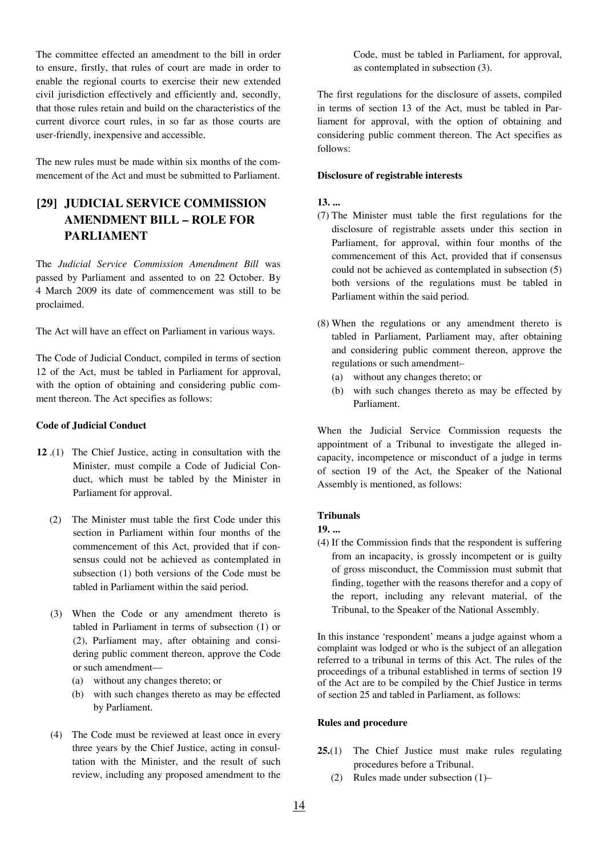The committee effected an amendment to the bill in order to ensure, firstly, that rules of court are made in order to enable the regional courts to exercise their new extended civil jurisdiction effectively and efficiently and, secondly, that those rules retain and build on the characteristics of the current divorce court rules, in so far as those courts are user-friendly, inexpensive and accessible.

The new rules must be made within six months of the commencement of the Act and must be submitted to Parliament.

## **[29] JUDICIAL SERVICE COMMISSION AMENDMENT BILL – ROLE FOR PARLIAMENT**

The *Judicial Service Commission Amendment Bill* was passed by Parliament and assented to on 22 October. By 4 March 2009 its date of commencement was still to be proclaimed.

The Act will have an effect on Parliament in various ways.

The Code of Judicial Conduct, compiled in terms of section 12 of the Act, must be tabled in Parliament for approval, with the option of obtaining and considering public comment thereon. The Act specifies as follows:

#### **Code of Judicial Conduct**

- **12** .(1) The Chief Justice, acting in consultation with the Minister, must compile a Code of Judicial Conduct, which must be tabled by the Minister in Parliament for approval.
	- (2) The Minister must table the first Code under this section in Parliament within four months of the commencement of this Act, provided that if consensus could not be achieved as contemplated in subsection (1) both versions of the Code must be tabled in Parliament within the said period.
	- (3) When the Code or any amendment thereto is tabled in Parliament in terms of subsection (1) or (2), Parliament may, after obtaining and considering public comment thereon, approve the Code or such amendment—
		- (a) without any changes thereto; or
		- (b) with such changes thereto as may be effected by Parliament.
	- (4) The Code must be reviewed at least once in every three years by the Chief Justice, acting in consultation with the Minister, and the result of such review, including any proposed amendment to the

Code, must be tabled in Parliament, for approval, as contemplated in subsection (3).

The first regulations for the disclosure of assets, compiled in terms of section 13 of the Act, must be tabled in Parliament for approval, with the option of obtaining and considering public comment thereon. The Act specifies as follows:

#### **Disclosure of registrable interests**

#### **13. ...**

- (7) The Minister must table the first regulations for the disclosure of registrable assets under this section in Parliament, for approval, within four months of the commencement of this Act, provided that if consensus could not be achieved as contemplated in subsection (5) both versions of the regulations must be tabled in Parliament within the said period.
- (8) When the regulations or any amendment thereto is tabled in Parliament, Parliament may, after obtaining and considering public comment thereon, approve the regulations or such amendment–
	- (a) without any changes thereto; or
	- (b) with such changes thereto as may be effected by Parliament.

When the Judicial Service Commission requests the appointment of a Tribunal to investigate the alleged incapacity, incompetence or misconduct of a judge in terms of section 19 of the Act, the Speaker of the National Assembly is mentioned, as follows:

#### **Tribunals**

- **19. ...**
- (4) If the Commission finds that the respondent is suffering from an incapacity, is grossly incompetent or is guilty of gross misconduct, the Commission must submit that finding, together with the reasons therefor and a copy of the report, including any relevant material, of the Tribunal, to the Speaker of the National Assembly.

In this instance 'respondent' means a judge against whom a complaint was lodged or who is the subject of an allegation referred to a tribunal in terms of this Act. The rules of the proceedings of a tribunal established in terms of section 19 of the Act are to be compiled by the Chief Justice in terms of section 25 and tabled in Parliament, as follows:

#### **Rules and procedure**

- **25.**(1) The Chief Justice must make rules regulating procedures before a Tribunal.
	- (2) Rules made under subsection (1)–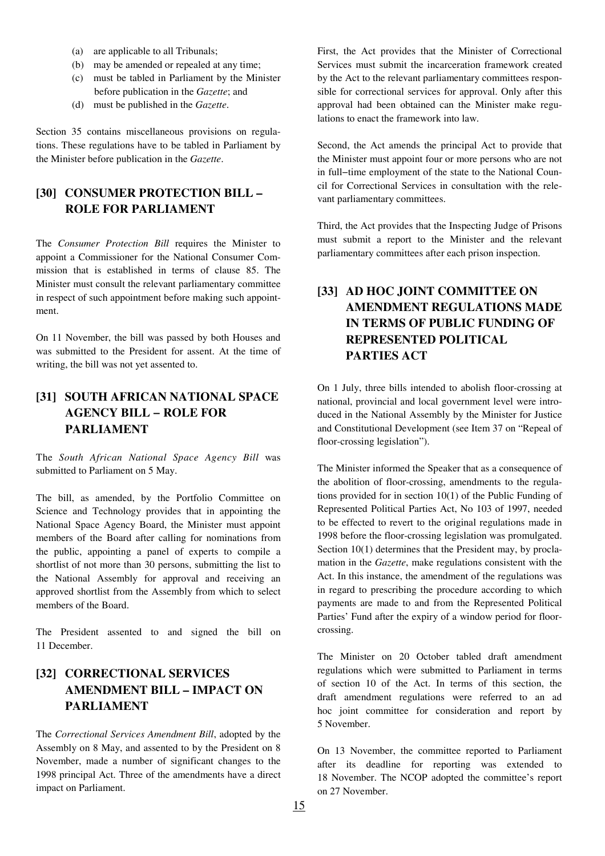- (a) are applicable to all Tribunals;
- (b) may be amended or repealed at any time;
- (c) must be tabled in Parliament by the Minister before publication in the *Gazette*; and
- (d) must be published in the *Gazette*.

Section 35 contains miscellaneous provisions on regulations. These regulations have to be tabled in Parliament by the Minister before publication in the *Gazette*.

### **[30] CONSUMER PROTECTION BILL – ROLE FOR PARLIAMENT**

The *Consumer Protection Bill* requires the Minister to appoint a Commissioner for the National Consumer Commission that is established in terms of clause 85. The Minister must consult the relevant parliamentary committee in respect of such appointment before making such appointment.

On 11 November, the bill was passed by both Houses and was submitted to the President for assent. At the time of writing, the bill was not yet assented to.

## **[31] SOUTH AFRICAN NATIONAL SPACE AGENCY BILL − ROLE FOR PARLIAMENT**

The *South African National Space Agency Bill* was submitted to Parliament on 5 May.

The bill, as amended, by the Portfolio Committee on Science and Technology provides that in appointing the National Space Agency Board, the Minister must appoint members of the Board after calling for nominations from the public, appointing a panel of experts to compile a shortlist of not more than 30 persons, submitting the list to the National Assembly for approval and receiving an approved shortlist from the Assembly from which to select members of the Board.

The President assented to and signed the bill on 11 December.

## **[32] CORRECTIONAL SERVICES AMENDMENT BILL – IMPACT ON PARLIAMENT**

The *Correctional Services Amendment Bill*, adopted by the Assembly on 8 May, and assented to by the President on 8 November, made a number of significant changes to the 1998 principal Act. Three of the amendments have a direct impact on Parliament.

First, the Act provides that the Minister of Correctional Services must submit the incarceration framework created by the Act to the relevant parliamentary committees responsible for correctional services for approval. Only after this approval had been obtained can the Minister make regulations to enact the framework into law.

Second, the Act amends the principal Act to provide that the Minister must appoint four or more persons who are not in full−time employment of the state to the National Council for Correctional Services in consultation with the relevant parliamentary committees.

Third, the Act provides that the Inspecting Judge of Prisons must submit a report to the Minister and the relevant parliamentary committees after each prison inspection.

## **[33] AD HOC JOINT COMMITTEE ON AMENDMENT REGULATIONS MADE IN TERMS OF PUBLIC FUNDING OF REPRESENTED POLITICAL PARTIES ACT**

On 1 July, three bills intended to abolish floor-crossing at national, provincial and local government level were introduced in the National Assembly by the Minister for Justice and Constitutional Development (see Item 37 on "Repeal of floor-crossing legislation").

The Minister informed the Speaker that as a consequence of the abolition of floor-crossing, amendments to the regulations provided for in section 10(1) of the Public Funding of Represented Political Parties Act, No 103 of 1997, needed to be effected to revert to the original regulations made in 1998 before the floor-crossing legislation was promulgated. Section 10(1) determines that the President may, by proclamation in the *Gazette*, make regulations consistent with the Act. In this instance, the amendment of the regulations was in regard to prescribing the procedure according to which payments are made to and from the Represented Political Parties' Fund after the expiry of a window period for floorcrossing.

The Minister on 20 October tabled draft amendment regulations which were submitted to Parliament in terms of section 10 of the Act. In terms of this section, the draft amendment regulations were referred to an ad hoc joint committee for consideration and report by 5 November.

On 13 November, the committee reported to Parliament after its deadline for reporting was extended to 18 November. The NCOP adopted the committee's report on 27 November.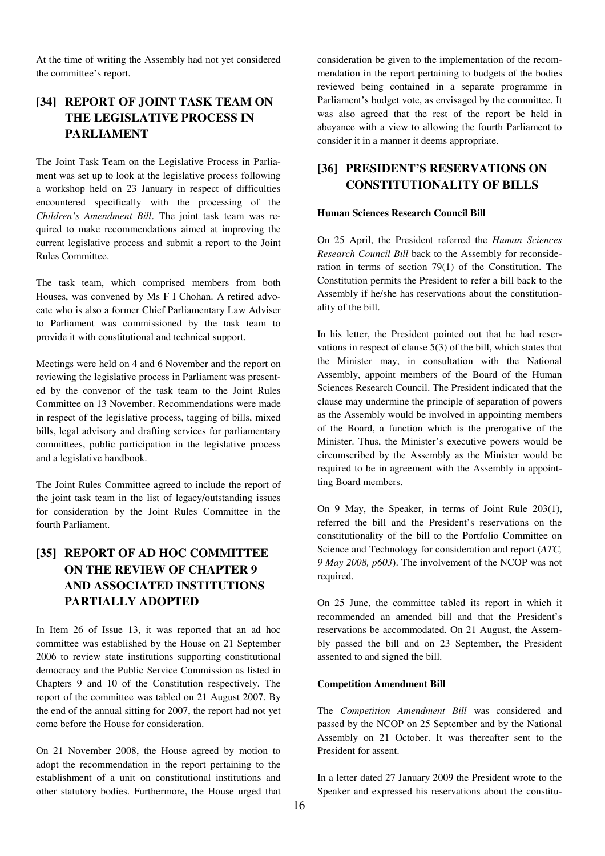At the time of writing the Assembly had not yet considered the committee's report.

## **[34] REPORT OF JOINT TASK TEAM ON THE LEGISLATIVE PROCESS IN PARLIAMENT**

The Joint Task Team on the Legislative Process in Parliament was set up to look at the legislative process following a workshop held on 23 January in respect of difficulties encountered specifically with the processing of the *Children's Amendment Bill*. The joint task team was required to make recommendations aimed at improving the current legislative process and submit a report to the Joint Rules Committee.

The task team, which comprised members from both Houses, was convened by Ms F I Chohan. A retired advocate who is also a former Chief Parliamentary Law Adviser to Parliament was commissioned by the task team to provide it with constitutional and technical support.

Meetings were held on 4 and 6 November and the report on reviewing the legislative process in Parliament was presented by the convenor of the task team to the Joint Rules Committee on 13 November. Recommendations were made in respect of the legislative process, tagging of bills, mixed bills, legal advisory and drafting services for parliamentary committees, public participation in the legislative process and a legislative handbook.

The Joint Rules Committee agreed to include the report of the joint task team in the list of legacy/outstanding issues for consideration by the Joint Rules Committee in the fourth Parliament.

## **[35] REPORT OF AD HOC COMMITTEE ON THE REVIEW OF CHAPTER 9 AND ASSOCIATED INSTITUTIONS PARTIALLY ADOPTED**

In Item 26 of Issue 13, it was reported that an ad hoc committee was established by the House on 21 September 2006 to review state institutions supporting constitutional democracy and the Public Service Commission as listed in Chapters 9 and 10 of the Constitution respectively. The report of the committee was tabled on 21 August 2007. By the end of the annual sitting for 2007, the report had not yet come before the House for consideration.

On 21 November 2008, the House agreed by motion to adopt the recommendation in the report pertaining to the establishment of a unit on constitutional institutions and other statutory bodies. Furthermore, the House urged that consideration be given to the implementation of the recommendation in the report pertaining to budgets of the bodies reviewed being contained in a separate programme in Parliament's budget vote, as envisaged by the committee. It was also agreed that the rest of the report be held in abeyance with a view to allowing the fourth Parliament to consider it in a manner it deems appropriate.

### **[36] PRESIDENT'S RESERVATIONS ON CONSTITUTIONALITY OF BILLS**

#### **Human Sciences Research Council Bill**

On 25 April, the President referred the *Human Sciences Research Council Bill* back to the Assembly for reconsideration in terms of section 79(1) of the Constitution. The Constitution permits the President to refer a bill back to the Assembly if he/she has reservations about the constitutionality of the bill.

In his letter, the President pointed out that he had reservations in respect of clause 5(3) of the bill, which states that the Minister may, in consultation with the National Assembly, appoint members of the Board of the Human Sciences Research Council. The President indicated that the clause may undermine the principle of separation of powers as the Assembly would be involved in appointing members of the Board, a function which is the prerogative of the Minister. Thus, the Minister's executive powers would be circumscribed by the Assembly as the Minister would be required to be in agreement with the Assembly in appointting Board members.

On 9 May, the Speaker, in terms of Joint Rule 203(1), referred the bill and the President's reservations on the constitutionality of the bill to the Portfolio Committee on Science and Technology for consideration and report (*ATC, 9 May 2008, p603*). The involvement of the NCOP was not required.

On 25 June, the committee tabled its report in which it recommended an amended bill and that the President's reservations be accommodated. On 21 August, the Assembly passed the bill and on 23 September, the President assented to and signed the bill.

#### **Competition Amendment Bill**

The *Competition Amendment Bill* was considered and passed by the NCOP on 25 September and by the National Assembly on 21 October. It was thereafter sent to the President for assent.

In a letter dated 27 January 2009 the President wrote to the Speaker and expressed his reservations about the constitu-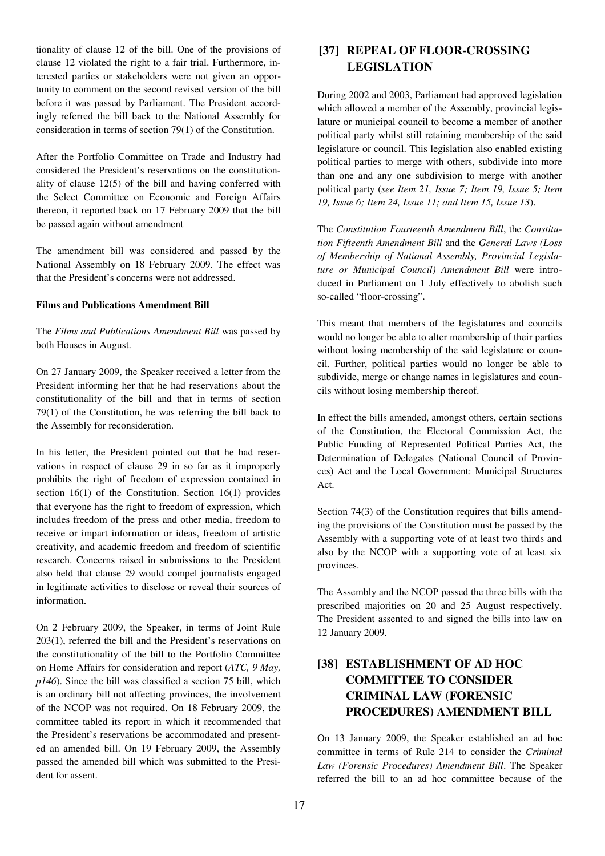tionality of clause 12 of the bill. One of the provisions of clause 12 violated the right to a fair trial. Furthermore, interested parties or stakeholders were not given an opportunity to comment on the second revised version of the bill before it was passed by Parliament. The President accordingly referred the bill back to the National Assembly for consideration in terms of section 79(1) of the Constitution.

After the Portfolio Committee on Trade and Industry had considered the President's reservations on the constitutionality of clause 12(5) of the bill and having conferred with the Select Committee on Economic and Foreign Affairs thereon, it reported back on 17 February 2009 that the bill be passed again without amendment

The amendment bill was considered and passed by the National Assembly on 18 February 2009. The effect was that the President's concerns were not addressed.

#### **Films and Publications Amendment Bill**

The *Films and Publications Amendment Bill* was passed by both Houses in August.

On 27 January 2009, the Speaker received a letter from the President informing her that he had reservations about the constitutionality of the bill and that in terms of section 79(1) of the Constitution, he was referring the bill back to the Assembly for reconsideration.

In his letter, the President pointed out that he had reservations in respect of clause 29 in so far as it improperly prohibits the right of freedom of expression contained in section 16(1) of the Constitution. Section 16(1) provides that everyone has the right to freedom of expression, which includes freedom of the press and other media, freedom to receive or impart information or ideas, freedom of artistic creativity, and academic freedom and freedom of scientific research. Concerns raised in submissions to the President also held that clause 29 would compel journalists engaged in legitimate activities to disclose or reveal their sources of information.

On 2 February 2009, the Speaker, in terms of Joint Rule 203(1), referred the bill and the President's reservations on the constitutionality of the bill to the Portfolio Committee on Home Affairs for consideration and report (*ATC, 9 May, p146*). Since the bill was classified a section 75 bill, which is an ordinary bill not affecting provinces, the involvement of the NCOP was not required. On 18 February 2009, the committee tabled its report in which it recommended that the President's reservations be accommodated and presented an amended bill. On 19 February 2009, the Assembly passed the amended bill which was submitted to the President for assent.

### **[37] REPEAL OF FLOOR-CROSSING LEGISLATION**

During 2002 and 2003, Parliament had approved legislation which allowed a member of the Assembly, provincial legislature or municipal council to become a member of another political party whilst still retaining membership of the said legislature or council. This legislation also enabled existing political parties to merge with others, subdivide into more than one and any one subdivision to merge with another political party (*see Item 21, Issue 7; Item 19, Issue 5; Item 19, Issue 6; Item 24, Issue 11; and Item 15, Issue 13*).

The *Constitution Fourteenth Amendment Bill*, the *Constitution Fifteenth Amendment Bill* and the *General Laws (Loss of Membership of National Assembly, Provincial Legislature or Municipal Council) Amendment Bill* were introduced in Parliament on 1 July effectively to abolish such so-called "floor-crossing".

This meant that members of the legislatures and councils would no longer be able to alter membership of their parties without losing membership of the said legislature or council. Further, political parties would no longer be able to subdivide, merge or change names in legislatures and councils without losing membership thereof.

In effect the bills amended, amongst others, certain sections of the Constitution, the Electoral Commission Act, the Public Funding of Represented Political Parties Act, the Determination of Delegates (National Council of Provinces) Act and the Local Government: Municipal Structures Act.

Section 74(3) of the Constitution requires that bills amending the provisions of the Constitution must be passed by the Assembly with a supporting vote of at least two thirds and also by the NCOP with a supporting vote of at least six provinces.

The Assembly and the NCOP passed the three bills with the prescribed majorities on 20 and 25 August respectively. The President assented to and signed the bills into law on 12 January 2009.

## **[38] ESTABLISHMENT OF AD HOC COMMITTEE TO CONSIDER CRIMINAL LAW (FORENSIC PROCEDURES) AMENDMENT BILL**

On 13 January 2009, the Speaker established an ad hoc committee in terms of Rule 214 to consider the *Criminal Law (Forensic Procedures) Amendment Bill*. The Speaker referred the bill to an ad hoc committee because of the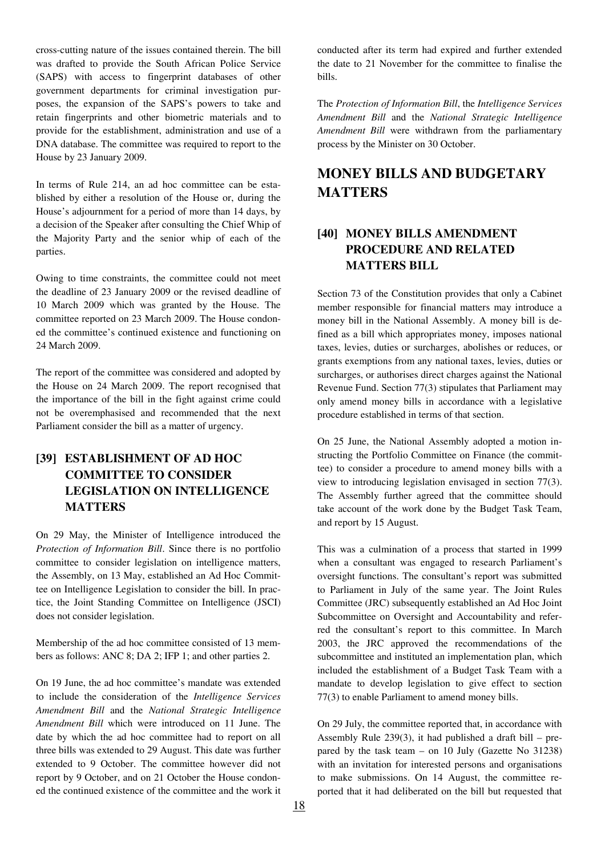cross-cutting nature of the issues contained therein. The bill was drafted to provide the South African Police Service (SAPS) with access to fingerprint databases of other government departments for criminal investigation purposes, the expansion of the SAPS's powers to take and retain fingerprints and other biometric materials and to provide for the establishment, administration and use of a DNA database. The committee was required to report to the House by 23 January 2009.

In terms of Rule 214, an ad hoc committee can be established by either a resolution of the House or, during the House's adjournment for a period of more than 14 days, by a decision of the Speaker after consulting the Chief Whip of the Majority Party and the senior whip of each of the parties.

Owing to time constraints, the committee could not meet the deadline of 23 January 2009 or the revised deadline of 10 March 2009 which was granted by the House. The committee reported on 23 March 2009. The House condoned the committee's continued existence and functioning on 24 March 2009.

The report of the committee was considered and adopted by the House on 24 March 2009. The report recognised that the importance of the bill in the fight against crime could not be overemphasised and recommended that the next Parliament consider the bill as a matter of urgency.

## **[39] ESTABLISHMENT OF AD HOC COMMITTEE TO CONSIDER LEGISLATION ON INTELLIGENCE MATTERS**

On 29 May, the Minister of Intelligence introduced the *Protection of Information Bill*. Since there is no portfolio committee to consider legislation on intelligence matters, the Assembly, on 13 May, established an Ad Hoc Committee on Intelligence Legislation to consider the bill. In practice, the Joint Standing Committee on Intelligence (JSCI) does not consider legislation.

Membership of the ad hoc committee consisted of 13 members as follows: ANC 8; DA 2; IFP 1; and other parties 2.

On 19 June, the ad hoc committee's mandate was extended to include the consideration of the *Intelligence Services Amendment Bill* and the *National Strategic Intelligence Amendment Bill* which were introduced on 11 June. The date by which the ad hoc committee had to report on all three bills was extended to 29 August. This date was further extended to 9 October. The committee however did not report by 9 October, and on 21 October the House condoned the continued existence of the committee and the work it conducted after its term had expired and further extended the date to 21 November for the committee to finalise the bills.

The *Protection of Information Bill*, the *Intelligence Services Amendment Bill* and the *National Strategic Intelligence Amendment Bill* were withdrawn from the parliamentary process by the Minister on 30 October.

# **MONEY BILLS AND BUDGETARY MATTERS**

## **[40] MONEY BILLS AMENDMENT PROCEDURE AND RELATED MATTERS BILL**

Section 73 of the Constitution provides that only a Cabinet member responsible for financial matters may introduce a money bill in the National Assembly. A money bill is defined as a bill which appropriates money, imposes national taxes, levies, duties or surcharges, abolishes or reduces, or grants exemptions from any national taxes, levies, duties or surcharges, or authorises direct charges against the National Revenue Fund. Section 77(3) stipulates that Parliament may only amend money bills in accordance with a legislative procedure established in terms of that section.

On 25 June, the National Assembly adopted a motion instructing the Portfolio Committee on Finance (the committee) to consider a procedure to amend money bills with a view to introducing legislation envisaged in section 77(3). The Assembly further agreed that the committee should take account of the work done by the Budget Task Team, and report by 15 August.

This was a culmination of a process that started in 1999 when a consultant was engaged to research Parliament's oversight functions. The consultant's report was submitted to Parliament in July of the same year. The Joint Rules Committee (JRC) subsequently established an Ad Hoc Joint Subcommittee on Oversight and Accountability and referred the consultant's report to this committee. In March 2003, the JRC approved the recommendations of the subcommittee and instituted an implementation plan, which included the establishment of a Budget Task Team with a mandate to develop legislation to give effect to section 77(3) to enable Parliament to amend money bills.

On 29 July, the committee reported that, in accordance with Assembly Rule 239(3), it had published a draft bill – prepared by the task team – on 10 July (Gazette No 31238) with an invitation for interested persons and organisations to make submissions. On 14 August, the committee reported that it had deliberated on the bill but requested that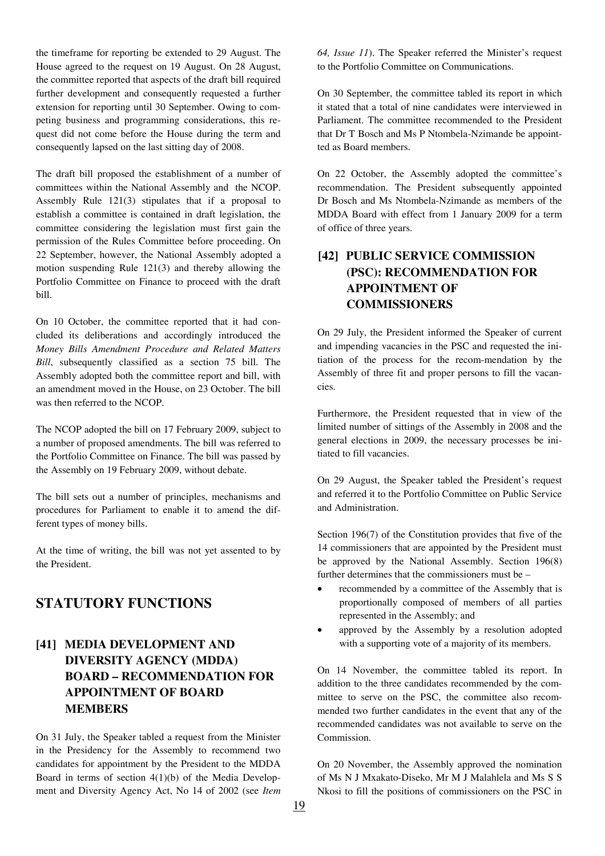the timeframe for reporting be extended to 29 August. The House agreed to the request on 19 August. On 28 August, the committee reported that aspects of the draft bill required further development and consequently requested a further extension for reporting until 30 September. Owing to competing business and programming considerations, this request did not come before the House during the term and consequently lapsed on the last sitting day of 2008.

The draft bill proposed the establishment of a number of committees within the National Assembly and the NCOP. Assembly Rule 121(3) stipulates that if a proposal to establish a committee is contained in draft legislation, the committee considering the legislation must first gain the permission of the Rules Committee before proceeding. On 22 September, however, the National Assembly adopted a motion suspending Rule 121(3) and thereby allowing the Portfolio Committee on Finance to proceed with the draft bill.

On 10 October, the committee reported that it had concluded its deliberations and accordingly introduced the *Money Bills Amendment Procedure and Related Matters Bill*, subsequently classified as a section 75 bill. The Assembly adopted both the committee report and bill, with an amendment moved in the House, on 23 October. The bill was then referred to the NCOP.

The NCOP adopted the bill on 17 February 2009, subject to a number of proposed amendments. The bill was referred to the Portfolio Committee on Finance. The bill was passed by the Assembly on 19 February 2009, without debate.

The bill sets out a number of principles, mechanisms and procedures for Parliament to enable it to amend the different types of money bills.

At the time of writing, the bill was not yet assented to by the President.

## **STATUTORY FUNCTIONS**

## **[41] MEDIA DEVELOPMENT AND DIVERSITY AGENCY (MDDA) BOARD – RECOMMENDATION FOR APPOINTMENT OF BOARD MEMBERS**

On 31 July, the Speaker tabled a request from the Minister in the Presidency for the Assembly to recommend two candidates for appointment by the President to the MDDA Board in terms of section  $4(1)(b)$  of the Media Development and Diversity Agency Act, No 14 of 2002 (see *Item*  *64, Issue 11*). The Speaker referred the Minister's request to the Portfolio Committee on Communications.

On 30 September, the committee tabled its report in which it stated that a total of nine candidates were interviewed in Parliament. The committee recommended to the President that Dr T Bosch and Ms P Ntombela-Nzimande be appointted as Board members.

On 22 October, the Assembly adopted the committee's recommendation. The President subsequently appointed Dr Bosch and Ms Ntombela-Nzimande as members of the MDDA Board with effect from 1 January 2009 for a term of office of three years.

## **[42] PUBLIC SERVICE COMMISSION (PSC): RECOMMENDATION FOR APPOINTMENT OF COMMISSIONERS**

On 29 July, the President informed the Speaker of current and impending vacancies in the PSC and requested the initiation of the process for the recom-mendation by the Assembly of three fit and proper persons to fill the vacancies.

Furthermore, the President requested that in view of the limited number of sittings of the Assembly in 2008 and the general elections in 2009, the necessary processes be initiated to fill vacancies.

On 29 August, the Speaker tabled the President's request and referred it to the Portfolio Committee on Public Service and Administration.

Section 196(7) of the Constitution provides that five of the 14 commissioners that are appointed by the President must be approved by the National Assembly. Section 196(8) further determines that the commissioners must be –

- recommended by a committee of the Assembly that is proportionally composed of members of all parties represented in the Assembly; and
- approved by the Assembly by a resolution adopted with a supporting vote of a majority of its members.

On 14 November, the committee tabled its report. In addition to the three candidates recommended by the committee to serve on the PSC, the committee also recommended two further candidates in the event that any of the recommended candidates was not available to serve on the Commission.

On 20 November, the Assembly approved the nomination of Ms N J Mxakato-Diseko, Mr M J Malahlela and Ms S S Nkosi to fill the positions of commissioners on the PSC in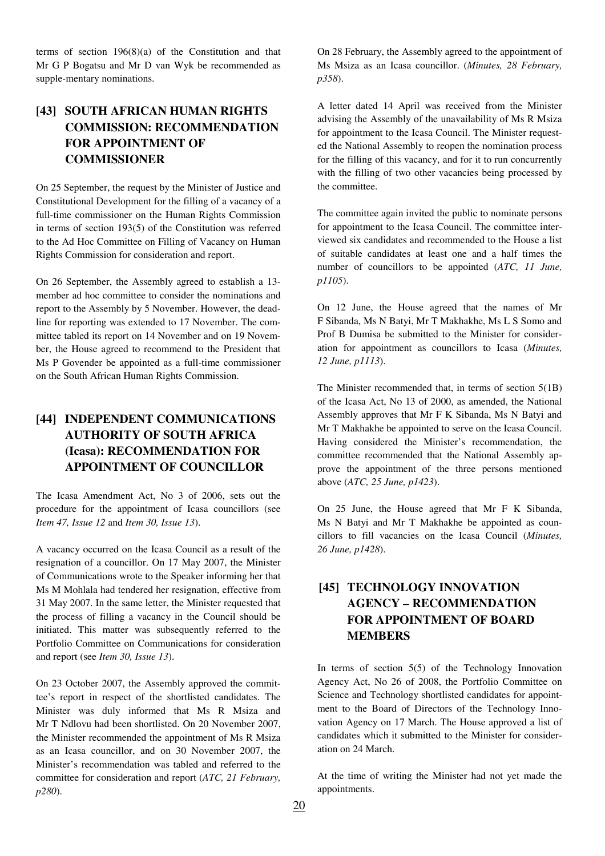terms of section 196(8)(a) of the Constitution and that Mr G P Bogatsu and Mr D van Wyk be recommended as supple-mentary nominations.

## **[43] SOUTH AFRICAN HUMAN RIGHTS COMMISSION: RECOMMENDATION FOR APPOINTMENT OF COMMISSIONER**

On 25 September, the request by the Minister of Justice and Constitutional Development for the filling of a vacancy of a full-time commissioner on the Human Rights Commission in terms of section 193(5) of the Constitution was referred to the Ad Hoc Committee on Filling of Vacancy on Human Rights Commission for consideration and report.

On 26 September, the Assembly agreed to establish a 13 member ad hoc committee to consider the nominations and report to the Assembly by 5 November. However, the deadline for reporting was extended to 17 November. The committee tabled its report on 14 November and on 19 November, the House agreed to recommend to the President that Ms P Govender be appointed as a full-time commissioner on the South African Human Rights Commission.

## **[44] INDEPENDENT COMMUNICATIONS AUTHORITY OF SOUTH AFRICA (Icasa): RECOMMENDATION FOR APPOINTMENT OF COUNCILLOR**

The Icasa Amendment Act, No 3 of 2006, sets out the procedure for the appointment of Icasa councillors (see *Item 47, Issue 12* and *Item 30, Issue 13*).

A vacancy occurred on the Icasa Council as a result of the resignation of a councillor. On 17 May 2007, the Minister of Communications wrote to the Speaker informing her that Ms M Mohlala had tendered her resignation, effective from 31 May 2007. In the same letter, the Minister requested that the process of filling a vacancy in the Council should be initiated. This matter was subsequently referred to the Portfolio Committee on Communications for consideration and report (see *Item 30, Issue 13*).

On 23 October 2007, the Assembly approved the committee's report in respect of the shortlisted candidates. The Minister was duly informed that Ms R Msiza and Mr T Ndlovu had been shortlisted. On 20 November 2007, the Minister recommended the appointment of Ms R Msiza as an Icasa councillor, and on 30 November 2007, the Minister's recommendation was tabled and referred to the committee for consideration and report (*ATC, 21 February, p280*).

On 28 February, the Assembly agreed to the appointment of Ms Msiza as an Icasa councillor. (*Minutes, 28 February, p358*).

A letter dated 14 April was received from the Minister advising the Assembly of the unavailability of Ms R Msiza for appointment to the Icasa Council. The Minister requested the National Assembly to reopen the nomination process for the filling of this vacancy, and for it to run concurrently with the filling of two other vacancies being processed by the committee.

The committee again invited the public to nominate persons for appointment to the Icasa Council. The committee interviewed six candidates and recommended to the House a list of suitable candidates at least one and a half times the number of councillors to be appointed (*ATC, 11 June, p1105*).

On 12 June, the House agreed that the names of Mr F Sibanda, Ms N Batyi, Mr T Makhakhe, Ms L S Somo and Prof B Dumisa be submitted to the Minister for consideration for appointment as councillors to Icasa (*Minutes, 12 June, p1113*).

The Minister recommended that, in terms of section 5(1B) of the Icasa Act, No 13 of 2000, as amended, the National Assembly approves that Mr F K Sibanda, Ms N Batyi and Mr T Makhakhe be appointed to serve on the Icasa Council. Having considered the Minister's recommendation, the committee recommended that the National Assembly approve the appointment of the three persons mentioned above (*ATC, 25 June, p1423*).

On 25 June, the House agreed that Mr F K Sibanda, Ms N Batyi and Mr T Makhakhe be appointed as councillors to fill vacancies on the Icasa Council (*Minutes, 26 June, p1428*).

## **[45] TECHNOLOGY INNOVATION AGENCY – RECOMMENDATION FOR APPOINTMENT OF BOARD MEMBERS**

In terms of section  $5(5)$  of the Technology Innovation Agency Act, No 26 of 2008, the Portfolio Committee on Science and Technology shortlisted candidates for appointment to the Board of Directors of the Technology Innovation Agency on 17 March. The House approved a list of candidates which it submitted to the Minister for consideration on 24 March.

At the time of writing the Minister had not yet made the appointments.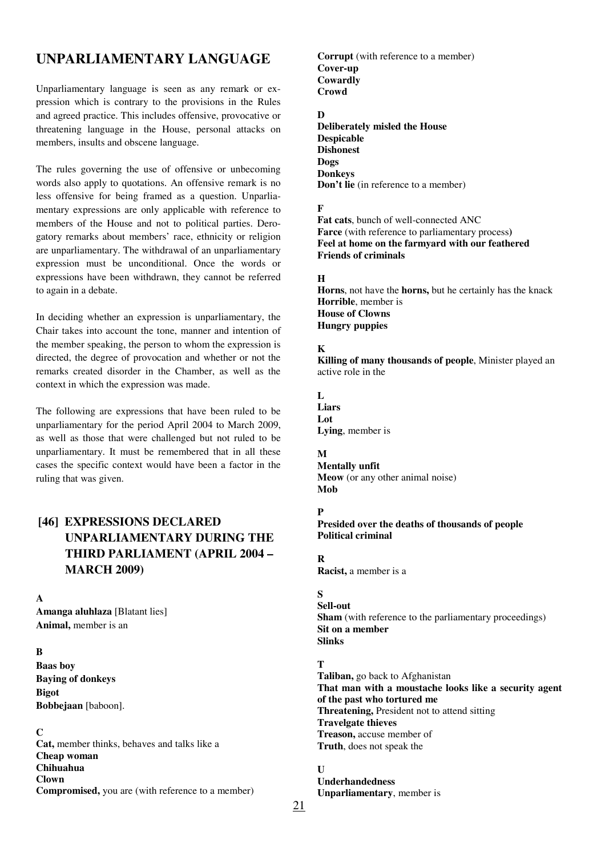# **UNPARLIAMENTARY LANGUAGE**

Unparliamentary language is seen as any remark or expression which is contrary to the provisions in the Rules and agreed practice. This includes offensive, provocative or threatening language in the House, personal attacks on members, insults and obscene language.

The rules governing the use of offensive or unbecoming words also apply to quotations. An offensive remark is no less offensive for being framed as a question. Unparliamentary expressions are only applicable with reference to members of the House and not to political parties. Derogatory remarks about members' race, ethnicity or religion are unparliamentary. The withdrawal of an unparliamentary expression must be unconditional. Once the words or expressions have been withdrawn, they cannot be referred to again in a debate.

In deciding whether an expression is unparliamentary, the Chair takes into account the tone, manner and intention of the member speaking, the person to whom the expression is directed, the degree of provocation and whether or not the remarks created disorder in the Chamber, as well as the context in which the expression was made.

The following are expressions that have been ruled to be unparliamentary for the period April 2004 to March 2009, as well as those that were challenged but not ruled to be unparliamentary. It must be remembered that in all these cases the specific context would have been a factor in the ruling that was given.

## **[46] EXPRESSIONS DECLARED UNPARLIAMENTARY DURING THE THIRD PARLIAMENT (APRIL 2004 – MARCH 2009)**

#### **A**

**Amanga aluhlaza** [Blatant lies] **Animal,** member is an

#### **B**

**Baas boy Baying of donkeys Bigot Bobbejaan** [baboon].

#### **C**

**Cat,** member thinks, behaves and talks like a **Cheap woman Chihuahua Clown Compromised,** you are (with reference to a member) **Corrupt** (with reference to a member) **Cover-up Cowardly Crowd**

#### **D**

**Deliberately misled the House Despicable Dishonest Dogs Donkeys Don't lie** (in reference to a member)

#### **F**

**Fat cats**, bunch of well-connected ANC **Farce** (with reference to parliamentary process**) Feel at home on the farmyard with our feathered Friends of criminals** 

#### **H**

**Horns**, not have the **horns,** but he certainly has the knack **Horrible**, member is **House of Clowns Hungry puppies** 

#### **K**

**Killing of many thousands of people**, Minister played an active role in the

**L Liars** 

**Lot Lying**, member is

#### **M**

**Mentally unfit Meow** (or any other animal noise) **Mob** 

### **P**

**Presided over the deaths of thousands of people Political criminal** 

**R** 

**Racist,** a member is a

### **S**

**Sell-out Sham** (with reference to the parliamentary proceedings) **Sit on a member Slinks** 

### **T**

**Taliban,** go back to Afghanistan **That man with a moustache looks like a security agent of the past who tortured me Threatening,** President not to attend sitting **Travelgate thieves Treason,** accuse member of **Truth**, does not speak the

### **U I**

**Underhandedness Unparliamentary**, member is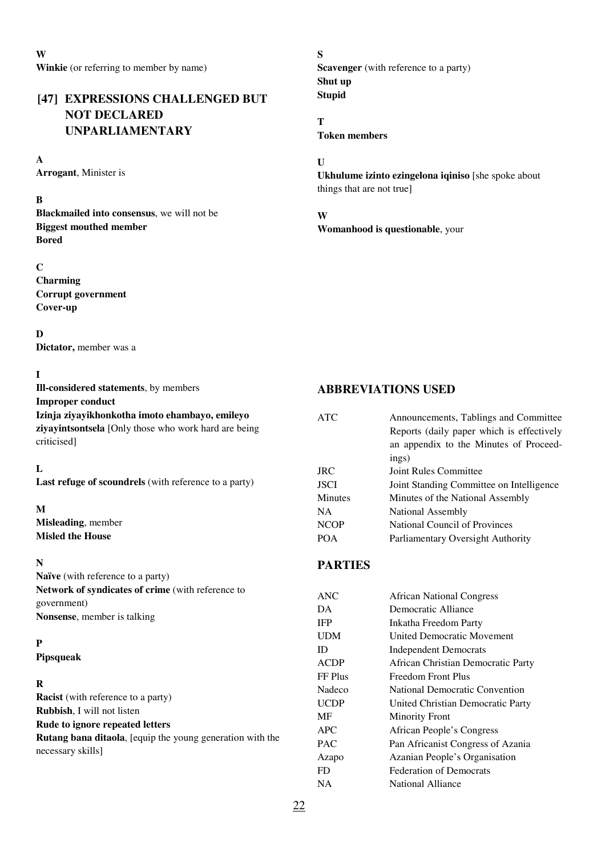## **[47] EXPRESSIONS CHALLENGED BUT NOT DECLARED UNPARLIAMENTARY**

### **A**

**Arrogant**, Minister is

### **B**

**Blackmailed into consensus**, we will not be **Biggest mouthed member Bored** 

### **C**

**Charming Corrupt government Cover-up** 

### **D**

**Dictator,** member was a

### **I**

**Ill-considered statements**, by members **Improper conduct Izinja ziyayikhonkotha imoto ehambayo, emileyo ziyayintsontsela** [Only those who work hard are being criticised]

### **L**

**Last refuge of scoundrels** (with reference to a party)

### **M**

**Misleading**, member **Misled the House** 

### **N**

**Naïve** (with reference to a party) **Network of syndicates of crime** (with reference to government) **Nonsense**, member is talking

### **P**

**Pipsqueak** 

### **R**

**Racist** (with reference to a party) **Rubbish**, I will not listen **Rude to ignore repeated letters Rutang bana ditaola**, [equip the young generation with the necessary skills]

**S Scavenger** (with reference to a party) **Shut up Stupid** 

**T Token members** 

**U** 

**Ukhulume izinto ezingelona iqiniso** [she spoke about things that are not true]

**W Womanhood is questionable**, your

### **ABBREVIATIONS USED**

| <b>ATC</b>     | Announcements, Tablings and Committee<br>Reports (daily paper which is effectively<br>an appendix to the Minutes of Proceed- |
|----------------|------------------------------------------------------------------------------------------------------------------------------|
|                | ings)                                                                                                                        |
| <b>JRC</b>     | <b>Joint Rules Committee</b>                                                                                                 |
| <b>JSCI</b>    | Joint Standing Committee on Intelligence                                                                                     |
| <b>Minutes</b> | Minutes of the National Assembly                                                                                             |
| <b>NA</b>      | National Assembly                                                                                                            |
| <b>NCOP</b>    | <b>National Council of Provinces</b>                                                                                         |
| <b>POA</b>     | Parliamentary Oversight Authority                                                                                            |
| <b>PARTIES</b> |                                                                                                                              |
| <b>ANC</b>     | <b>African National Congress</b>                                                                                             |
| DA             | Democratic Alliance                                                                                                          |
| <b>IFP</b>     | Inkatha Freedom Party                                                                                                        |
| <b>UDM</b>     | <b>United Democratic Movement</b>                                                                                            |
| ID             | <b>Independent Democrats</b>                                                                                                 |
| <b>ACDP</b>    | African Christian Democratic Party                                                                                           |
| FF Plus        | Freedom Front Plus                                                                                                           |
| Nadeco         | National Democratic Convention                                                                                               |
| <b>UCDP</b>    | United Christian Democratic Party                                                                                            |
| <b>MF</b>      | <b>Minority Front</b>                                                                                                        |
| APC            | African People's Congress                                                                                                    |
| <b>PAC</b>     | Pan Africanist Congress of Azania                                                                                            |
| Azapo          | Azanian People's Organisation                                                                                                |
| FD             | <b>Federation of Democrats</b>                                                                                               |
| <b>NA</b>      | <b>National Alliance</b>                                                                                                     |